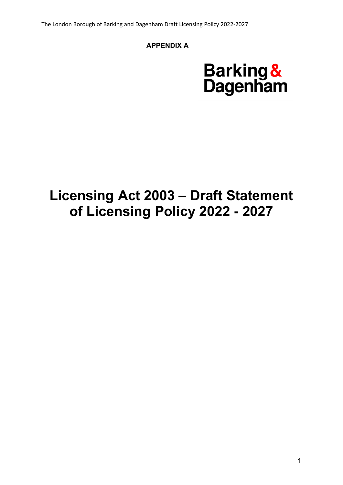# **APPENDIX A**

# **Barking &**<br>Dagenham

# **Licensing Act 2003 – Draft Statement of Licensing Policy 2022 - 2027**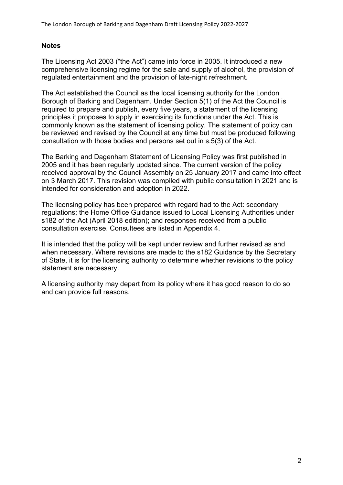# **Notes**

The Licensing Act 2003 ("the Act") came into force in 2005. It introduced a new comprehensive licensing regime for the sale and supply of alcohol, the provision of regulated entertainment and the provision of late-night refreshment.

The Act established the Council as the local licensing authority for the London Borough of Barking and Dagenham. Under Section 5(1) of the Act the Council is required to prepare and publish, every five years, a statement of the licensing principles it proposes to apply in exercising its functions under the Act. This is commonly known as the statement of licensing policy. The statement of policy can be reviewed and revised by the Council at any time but must be produced following consultation with those bodies and persons set out in s.5(3) of the Act.

The Barking and Dagenham Statement of Licensing Policy was first published in 2005 and it has been regularly updated since. The current version of the policy received approval by the Council Assembly on 25 January 2017 and came into effect on 3 March 2017. This revision was compiled with public consultation in 2021 and is intended for consideration and adoption in 2022.

The licensing policy has been prepared with regard had to the Act: secondary regulations; the Home Office Guidance issued to Local Licensing Authorities under s182 of the Act (April 2018 edition); and responses received from a public consultation exercise. Consultees are listed in Appendix 4.

It is intended that the policy will be kept under review and further revised as and when necessary. Where revisions are made to the s182 Guidance by the Secretary of State, it is for the licensing authority to determine whether revisions to the policy statement are necessary.

A licensing authority may depart from its policy where it has good reason to do so and can provide full reasons.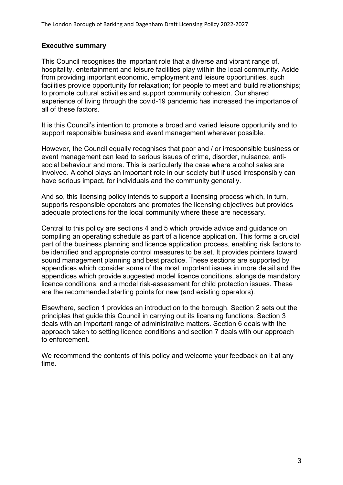# **Executive summary**

This Council recognises the important role that a diverse and vibrant range of, hospitality, entertainment and leisure facilities play within the local community. Aside from providing important economic, employment and leisure opportunities, such facilities provide opportunity for relaxation; for people to meet and build relationships; to promote cultural activities and support community cohesion. Our shared experience of living through the covid-19 pandemic has increased the importance of all of these factors.

It is this Council's intention to promote a broad and varied leisure opportunity and to support responsible business and event management wherever possible.

However, the Council equally recognises that poor and / or irresponsible business or event management can lead to serious issues of crime, disorder, nuisance, antisocial behaviour and more. This is particularly the case where alcohol sales are involved. Alcohol plays an important role in our society but if used irresponsibly can have serious impact, for individuals and the community generally.

And so, this licensing policy intends to support a licensing process which, in turn, supports responsible operators and promotes the licensing objectives but provides adequate protections for the local community where these are necessary.

Central to this policy are sections 4 and 5 which provide advice and guidance on compiling an operating schedule as part of a licence application. This forms a crucial part of the business planning and licence application process, enabling risk factors to be identified and appropriate control measures to be set. It provides pointers toward sound management planning and best practice. These sections are supported by appendices which consider some of the most important issues in more detail and the appendices which provide suggested model licence conditions, alongside mandatory licence conditions, and a model risk-assessment for child protection issues. These are the recommended starting points for new (and existing operators).

Elsewhere, section 1 provides an introduction to the borough. Section 2 sets out the principles that guide this Council in carrying out its licensing functions. Section 3 deals with an important range of administrative matters. Section 6 deals with the approach taken to setting licence conditions and section 7 deals with our approach to enforcement.

We recommend the contents of this policy and welcome your feedback on it at any time.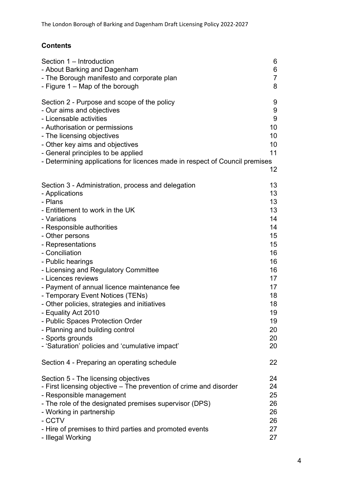# **Contents**

| Section 1 - Introduction                                                    | 6              |
|-----------------------------------------------------------------------------|----------------|
| - About Barking and Dagenham                                                | 6              |
| - The Borough manifesto and corporate plan                                  | $\overline{7}$ |
| - Figure 1 - Map of the borough                                             | 8              |
| Section 2 - Purpose and scope of the policy                                 | 9              |
| - Our aims and objectives                                                   | 9              |
| - Licensable activities                                                     | 9              |
| - Authorisation or permissions                                              | 10             |
| - The licensing objectives                                                  | 10             |
| - Other key aims and objectives                                             | 10             |
| - General principles to be applied                                          | 11             |
| - Determining applications for licences made in respect of Council premises | 12             |
| Section 3 - Administration, process and delegation                          | 13             |
| - Applications                                                              | 13             |
| - Plans                                                                     | 13             |
| - Entitlement to work in the UK                                             | 13             |
| - Variations                                                                | 14             |
| - Responsible authorities                                                   | 14             |
| - Other persons                                                             | 15             |
| - Representations                                                           | 15             |
| - Conciliation                                                              | 16             |
| - Public hearings                                                           | 16             |
| - Licensing and Regulatory Committee                                        | 16             |
| - Licences reviews                                                          | 17             |
| - Payment of annual licence maintenance fee                                 | 17             |
| - Temporary Event Notices (TENs)                                            | 18             |
| - Other policies, strategies and initiatives                                | 18             |
| - Equality Act 2010                                                         | 19             |
| - Public Spaces Protection Order                                            | 19             |
| - Planning and building control                                             | 20             |
| - Sports grounds                                                            | 20             |
| - 'Saturation' policies and 'cumulative impact'                             | 20             |
| Section 4 - Preparing an operating schedule                                 | 22             |
| Section 5 - The licensing objectives                                        | 24             |
| - First licensing objective – The prevention of crime and disorder          | 24             |
| - Responsible management                                                    | 25             |
| - The role of the designated premises supervisor (DPS)                      | 26             |
| - Working in partnership                                                    | 26             |
| - CCTV                                                                      | 26             |
| - Hire of premises to third parties and promoted events                     | 27             |
| - Illegal Working                                                           | 27             |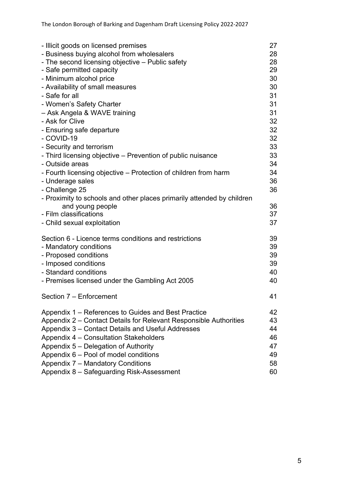| - Illicit goods on licensed premises                                   | 27 |
|------------------------------------------------------------------------|----|
| - Business buying alcohol from wholesalers                             | 28 |
| - The second licensing objective – Public safety                       | 28 |
| - Safe permitted capacity                                              | 29 |
| - Minimum alcohol price                                                | 30 |
| - Availability of small measures                                       | 30 |
| - Safe for all                                                         | 31 |
| - Women's Safety Charter                                               | 31 |
| - Ask Angela & WAVE training                                           | 31 |
| - Ask for Clive                                                        | 32 |
| - Ensuring safe departure                                              | 32 |
| - COVID-19                                                             | 32 |
| - Security and terrorism                                               | 33 |
| - Third licensing objective – Prevention of public nuisance            | 33 |
| - Outside areas                                                        | 34 |
| - Fourth licensing objective – Protection of children from harm        | 34 |
| - Underage sales                                                       | 36 |
| - Challenge 25                                                         | 36 |
| - Proximity to schools and other places primarily attended by children |    |
| and young people                                                       | 36 |
| - Film classifications                                                 | 37 |
| - Child sexual exploitation                                            | 37 |
|                                                                        |    |
| Section 6 - Licence terms conditions and restrictions                  | 39 |
| - Mandatory conditions                                                 | 39 |
| - Proposed conditions                                                  | 39 |
| - Imposed conditions                                                   | 39 |
| - Standard conditions                                                  | 40 |
| - Premises licensed under the Gambling Act 2005                        | 40 |
|                                                                        | 41 |
| Section 7 - Enforcement                                                |    |
| Appendix 1 – References to Guides and Best Practice                    | 42 |
| Appendix 2 – Contact Details for Relevant Responsible Authorities      | 43 |
| Appendix 3 - Contact Details and Useful Addresses                      | 44 |
| Appendix 4 - Consultation Stakeholders                                 | 46 |
| Appendix 5 – Delegation of Authority                                   | 47 |
| Appendix 6 – Pool of model conditions                                  | 49 |
| Appendix 7 - Mandatory Conditions                                      | 58 |
| Appendix 8 - Safeguarding Risk-Assessment                              | 60 |
|                                                                        |    |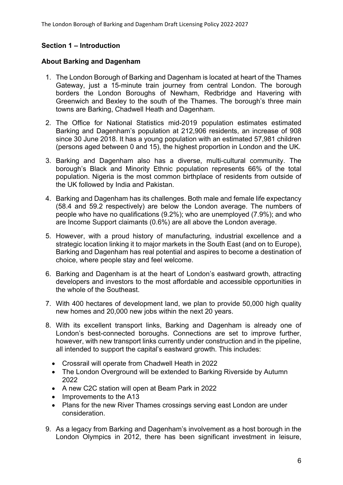# **Section 1 – Introduction**

# **About Barking and Dagenham**

- 1. The London Borough of Barking and Dagenham is located at heart of the Thames Gateway, just a 15-minute train journey from central London. The borough borders the London Boroughs of Newham, Redbridge and Havering with Greenwich and Bexley to the south of the Thames. The borough's three main towns are Barking, Chadwell Heath and Dagenham.
- 2. The Office for National Statistics mid-2019 population estimates estimated Barking and Dagenham's population at 212,906 residents, an increase of 908 since 30 June 2018. It has a young population with an estimated 57,981 children (persons aged between 0 and 15), the highest proportion in London and the UK.
- 3. Barking and Dagenham also has a diverse, multi-cultural community. The borough's Black and Minority Ethnic population represents 66% of the total population. Nigeria is the most common birthplace of residents from outside of the UK followed by India and Pakistan.
- 4. Barking and Dagenham has its challenges. Both male and female life expectancy (58.4 and 59.2 respectively) are below the London average. The numbers of people who have no qualifications (9.2%); who are unemployed (7.9%); and who are Income Support claimants (0.6%) are all above the London average.
- 5. However, with a proud history of manufacturing, industrial excellence and a strategic location linking it to major markets in the South East (and on to Europe), Barking and Dagenham has real potential and aspires to become a destination of choice, where people stay and feel welcome.
- 6. Barking and Dagenham is at the heart of London's eastward growth, attracting developers and investors to the most affordable and accessible opportunities in the whole of the Southeast.
- 7. With 400 hectares of development land, we plan to provide 50,000 high quality new homes and 20,000 new jobs within the next 20 years.
- 8. With its excellent transport links, Barking and Dagenham is already one of London's best-connected boroughs. Connections are set to improve further, however, with new transport links currently under construction and in the pipeline, all intended to support the capital's eastward growth. This includes:
	- Crossrail will operate from Chadwell Heath in 2022
	- The London Overground will be extended to Barking Riverside by Autumn 2022
	- A new C2C station will open at Beam Park in 2022
	- Improvements to the A13
	- Plans for the new River Thames crossings serving east London are under consideration.
- 9. As a legacy from Barking and Dagenham's involvement as a host borough in the London Olympics in 2012, there has been significant investment in leisure,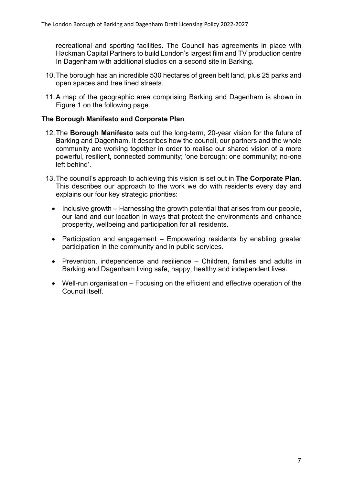recreational and sporting facilities. The Council has agreements in place with Hackman Capital Partners to build London's largest film and TV production centre In Dagenham with additional studios on a second site in Barking.

- 10.The borough has an incredible 530 hectares of green belt land, plus 25 parks and open spaces and tree lined streets.
- 11.A map of the geographic area comprising Barking and Dagenham is shown in Figure 1 on the following page.

# **The Borough Manifesto and Corporate Plan**

- 12.The **Borough [Manifesto](https://www.lbbd.gov.uk/borough-manifesto)** sets out the long-term, 20-year vision for the future of Barking and Dagenham. It describes how the council, our partners and the whole community are working together in order to realise our shared vision of a more powerful, resilient, connected community; 'one borough; one community; no-one left behind'.
- 13.The council's approach to achieving this vision is set out in **The [Corporate](https://www.lbbd.gov.uk/the-corporate-plan-and-performance-framework) Plan**. This describes our approach to the work we do with residents every day and explains our four key strategic priorities:
	- $\bullet$  Inclusive growth Harnessing the growth potential that arises from our people, our land and our location in ways that protect the environments and enhance prosperity, wellbeing and participation for all residents.
	- Participation and engagement Empowering residents by enabling greater participation in the community and in public services.
	- Prevention, independence and resilience Children, families and adults in Barking and Dagenham living safe, happy, healthy and independent lives.
	- Well-run organisation Focusing on the efficient and effective operation of the Council itself.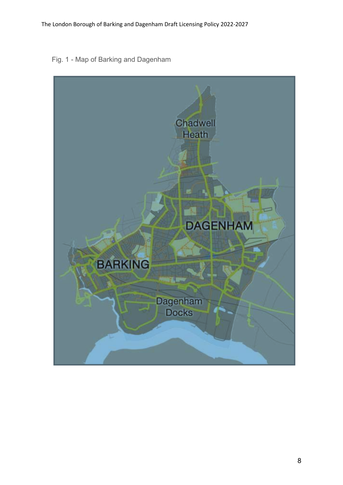Fig. 1 - Map of Barking and Dagenham

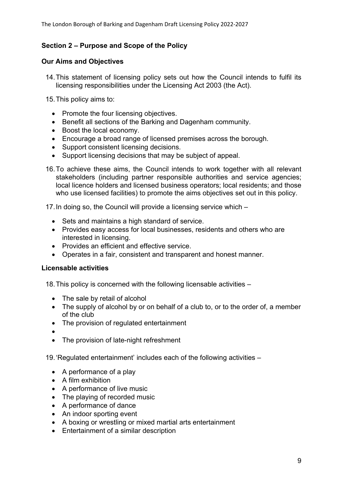# **Section 2 – Purpose and Scope of the Policy**

# **Our Aims and Objectives**

- 14.This statement of licensing policy sets out how the Council intends to fulfil its licensing responsibilities under the Licensing Act 2003 (the Act).
- 15.This policy aims to:
	- Promote the four licensing objectives.
	- Benefit all sections of the Barking and Dagenham community.
	- Boost the local economy.
	- Encourage a broad range of licensed premises across the borough.
	- Support consistent licensing decisions.
	- Support licensing decisions that may be subject of appeal.
- 16.To achieve these aims, the Council intends to work together with all relevant stakeholders (including partner responsible authorities and service agencies; local licence holders and licensed business operators; local residents; and those who use licensed facilities) to promote the aims objectives set out in this policy.

17.In doing so, the Council will provide a licensing service which –

- Sets and maintains a high standard of service.
- Provides easy access for local businesses, residents and others who are interested in licensing.
- Provides an efficient and effective service.
- Operates in a fair, consistent and transparent and honest manner.

# **Licensable activities**

18.This policy is concerned with the following licensable activities –

- The sale by retail of alcohol
- The supply of alcohol by or on behalf of a club to, or to the order of, a member of the club
- The provision of regulated entertainment
- $\bullet$
- The provision of late-night refreshment

19.'Regulated entertainment' includes each of the following activities –

- A performance of a play
- A film exhibition
- A performance of live music
- The playing of recorded music
- A performance of dance
- An indoor sporting event
- A boxing or wrestling or mixed martial arts entertainment
- Entertainment of a similar description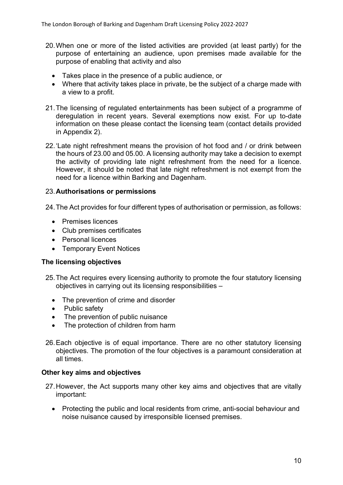- 20.When one or more of the listed activities are provided (at least partly) for the purpose of entertaining an audience, upon premises made available for the purpose of enabling that activity and also
	- Takes place in the presence of a public audience, or
	- Where that activity takes place in private, be the subject of a charge made with a view to a profit.
- 21.The licensing of regulated entertainments has been subject of a programme of deregulation in recent years. Several exemptions now exist. For up to-date information on these please contact the licensing team (contact details provided in Appendix 2).
- 22.'Late night refreshment means the provision of hot food and / or drink between the hours of 23.00 and 05.00. A licensing authority may take a decision to exempt the activity of providing late night refreshment from the need for a licence. However, it should be noted that late night refreshment is not exempt from the need for a licence within Barking and Dagenham.

# 23.**Authorisations or permissions**

24.The Act provides for four different types of authorisation or permission, as follows:

- Premises licences
- Club premises certificates
- Personal licences
- Temporary Event Notices

#### **The licensing objectives**

- 25.The Act requires every licensing authority to promote the four statutory licensing objectives in carrying out its licensing responsibilities –
	- The prevention of crime and disorder
	- Public safety
	- The prevention of public nuisance
	- The protection of children from harm
- 26.Each objective is of equal importance. There are no other statutory licensing objectives. The promotion of the four objectives is a paramount consideration at all times.

#### **Other key aims and objectives**

- 27.However, the Act supports many other key aims and objectives that are vitally important:
	- Protecting the public and local residents from crime, anti-social behaviour and noise nuisance caused by irresponsible licensed premises.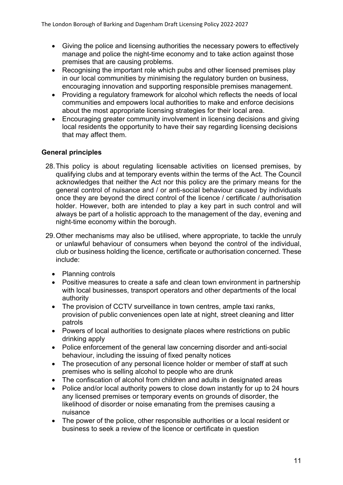- Giving the police and licensing authorities the necessary powers to effectively manage and police the night-time economy and to take action against those premises that are causing problems.
- Recognising the important role which pubs and other licensed premises play in our local communities by minimising the regulatory burden on business, encouraging innovation and supporting responsible premises management.
- Providing a regulatory framework for alcohol which reflects the needs of local communities and empowers local authorities to make and enforce decisions about the most appropriate licensing strategies for their local area.
- Encouraging greater community involvement in licensing decisions and giving local residents the opportunity to have their say regarding licensing decisions that may affect them.

# **General principles**

- 28.This policy is about regulating licensable activities on licensed premises, by qualifying clubs and at temporary events within the terms of the Act. The Council acknowledges that neither the Act nor this policy are the primary means for the general control of nuisance and / or anti-social behaviour caused by individuals once they are beyond the direct control of the licence / certificate / authorisation holder. However, both are intended to play a key part in such control and will always be part of a holistic approach to the management of the day, evening and night-time economy within the borough.
- 29.Other mechanisms may also be utilised, where appropriate, to tackle the unruly or unlawful behaviour of consumers when beyond the control of the individual, club or business holding the licence, certificate or authorisation concerned. These include:
	- Planning controls
	- Positive measures to create a safe and clean town environment in partnership with local businesses, transport operators and other departments of the local authority
	- The provision of CCTV surveillance in town centres, ample taxi ranks, provision of public conveniences open late at night, street cleaning and litter patrols
	- Powers of local authorities to designate places where restrictions on public drinking apply
	- Police enforcement of the general law concerning disorder and anti-social behaviour, including the issuing of fixed penalty notices
	- The prosecution of any personal licence holder or member of staff at such premises who is selling alcohol to people who are drunk
	- The confiscation of alcohol from children and adults in designated areas
	- Police and/or local authority powers to close down instantly for up to 24 hours any licensed premises or temporary events on grounds of disorder, the likelihood of disorder or noise emanating from the premises causing a nuisance
	- The power of the police, other responsible authorities or a local resident or business to seek a review of the licence or certificate in question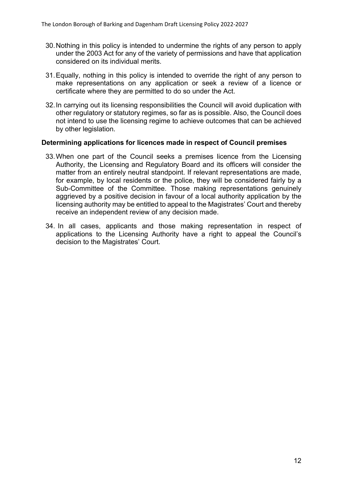- 30.Nothing in this policy is intended to undermine the rights of any person to apply under the 2003 Act for any of the variety of permissions and have that application considered on its individual merits.
- 31.Equally, nothing in this policy is intended to override the right of any person to make representations on any application or seek a review of a licence or certificate where they are permitted to do so under the Act.
- 32.In carrying out its licensing responsibilities the Council will avoid duplication with other regulatory or statutory regimes, so far as is possible. Also, the Council does not intend to use the licensing regime to achieve outcomes that can be achieved by other legislation.

#### **Determining applications for licences made in respect of Council premises**

- 33.When one part of the Council seeks a premises licence from the Licensing Authority, the Licensing and Regulatory Board and its officers will consider the matter from an entirely neutral standpoint. If relevant representations are made, for example, by local residents or the police, they will be considered fairly by a Sub-Committee of the Committee. Those making representations genuinely aggrieved by a positive decision in favour of a local authority application by the licensing authority may be entitled to appeal to the Magistrates' Court and thereby receive an independent review of any decision made.
- 34. In all cases, applicants and those making representation in respect of applications to the Licensing Authority have a right to appeal the Council's decision to the Magistrates' Court.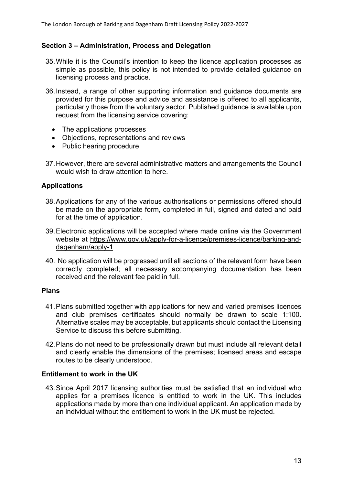# **Section 3 – Administration, Process and Delegation**

- 35.While it is the Council's intention to keep the licence application processes as simple as possible, this policy is not intended to provide detailed guidance on licensing process and practice.
- 36.Instead, a range of other supporting information and guidance documents are provided for this purpose and advice and assistance is offered to all applicants, particularly those from the voluntary sector. Published guidance is available upon request from the licensing service covering:
	- The applications processes
	- Objections, representations and reviews
	- Public hearing procedure
- 37.However, there are several administrative matters and arrangements the Council would wish to draw attention to here.

# **Applications**

- 38.Applications for any of the various authorisations or permissions offered should be made on the appropriate form, completed in full, signed and dated and paid for at the time of application.
- 39.Electronic applications will be accepted where made online via the Government website at [https://www.gov.uk/apply-for-a-licence/premises-licence/barking-and](https://www.gov.uk/apply-for-a-licence/premises-licence/barking-and-dagenham/apply-1)[dagenham/apply-1](https://www.gov.uk/apply-for-a-licence/premises-licence/barking-and-dagenham/apply-1)
- 40. No application will be progressed until all sections of the relevant form have been correctly completed; all necessary accompanying documentation has been received and the relevant fee paid in full.

#### **Plans**

- 41.Plans submitted together with applications for new and varied premises licences and club premises certificates should normally be drawn to scale 1:100. Alternative scales may be acceptable, but applicants should contact the Licensing Service to discuss this before submitting.
- 42.Plans do not need to be professionally drawn but must include all relevant detail and clearly enable the dimensions of the premises; licensed areas and escape routes to be clearly understood.

#### **Entitlement to work in the UK**

43.Since April 2017 licensing authorities must be satisfied that an individual who applies for a premises licence is entitled to work in the UK. This includes applications made by more than one individual applicant. An application made by an individual without the entitlement to work in the UK must be rejected.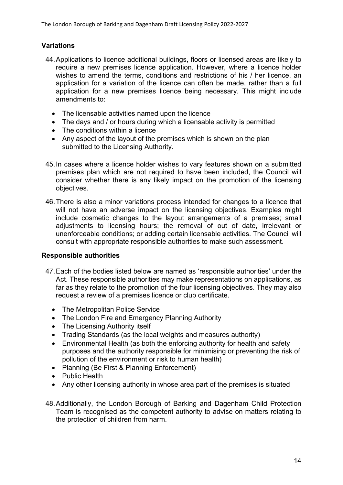# **Variations**

- 44.Applications to licence additional buildings, floors or licensed areas are likely to require a new premises licence application. However, where a licence holder wishes to amend the terms, conditions and restrictions of his / her licence, an application for a variation of the licence can often be made, rather than a full application for a new premises licence being necessary. This might include amendments to:
	- The licensable activities named upon the licence
	- The days and / or hours during which a licensable activity is permitted
	- The conditions within a licence
	- Any aspect of the layout of the premises which is shown on the plan submitted to the Licensing Authority.
- 45.In cases where a licence holder wishes to vary features shown on a submitted premises plan which are not required to have been included, the Council will consider whether there is any likely impact on the promotion of the licensing objectives.
- 46.There is also a minor variations process intended for changes to a licence that will not have an adverse impact on the licensing objectives. Examples might include cosmetic changes to the layout arrangements of a premises; small adjustments to licensing hours; the removal of out of date, irrelevant or unenforceable conditions; or adding certain licensable activities. The Council will consult with appropriate responsible authorities to make such assessment.

#### **Responsible authorities**

- 47.Each of the bodies listed below are named as 'responsible authorities' under the Act. These responsible authorities may make representations on applications, as far as they relate to the promotion of the four licensing objectives. They may also request a review of a premises licence or club certificate.
	- The Metropolitan Police Service
	- The London Fire and Emergency Planning Authority
	- The Licensing Authority itself
	- Trading Standards (as the local weights and measures authority)
	- Environmental Health (as both the enforcing authority for health and safety purposes and the authority responsible for minimising or preventing the risk of pollution of the environment or risk to human health)
	- Planning (Be First & Planning Enforcement)
	- Public Health
	- Any other licensing authority in whose area part of the premises is situated
- 48.Additionally, the London Borough of Barking and Dagenham Child Protection Team is recognised as the competent authority to advise on matters relating to the protection of children from harm.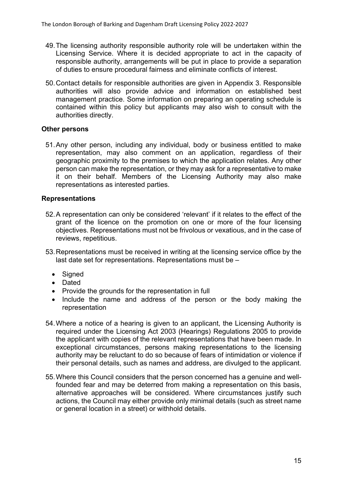- 49.The licensing authority responsible authority role will be undertaken within the Licensing Service. Where it is decided appropriate to act in the capacity of responsible authority, arrangements will be put in place to provide a separation of duties to ensure procedural fairness and eliminate conflicts of interest.
- 50.Contact details for responsible authorities are given in Appendix 3. Responsible authorities will also provide advice and information on established best management practice. Some information on preparing an operating schedule is contained within this policy but applicants may also wish to consult with the authorities directly.

# **Other persons**

51.Any other person, including any individual, body or business entitled to make representation, may also comment on an application, regardless of their geographic proximity to the premises to which the application relates. Any other person can make the representation, or they may ask for a representative to make it on their behalf. Members of the Licensing Authority may also make representations as interested parties.

# **Representations**

- 52.A representation can only be considered 'relevant' if it relates to the effect of the grant of the licence on the promotion on one or more of the four licensing objectives. Representations must not be frivolous or vexatious, and in the case of reviews, repetitious.
- 53.Representations must be received in writing at the licensing service office by the last date set for representations. Representations must be –
	- Signed
	- Dated
	- Provide the grounds for the representation in full
	- Include the name and address of the person or the body making the representation
- 54.Where a notice of a hearing is given to an applicant, the Licensing Authority is required under the Licensing Act 2003 (Hearings) Regulations 2005 to provide the applicant with copies of the relevant representations that have been made. In exceptional circumstances, persons making representations to the licensing authority may be reluctant to do so because of fears of intimidation or violence if their personal details, such as names and address, are divulged to the applicant.
- 55.Where this Council considers that the person concerned has a genuine and wellfounded fear and may be deterred from making a representation on this basis, alternative approaches will be considered. Where circumstances justify such actions, the Council may either provide only minimal details (such as street name or general location in a street) or withhold details.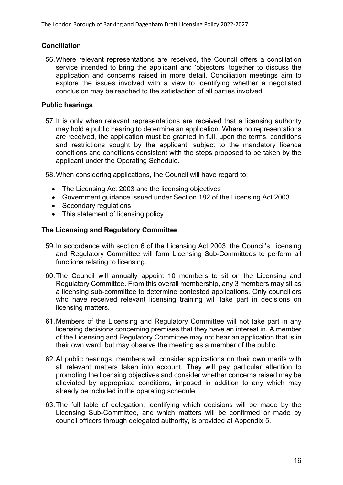# **Conciliation**

56.Where relevant representations are received, the Council offers a conciliation service intended to bring the applicant and 'objectors' together to discuss the application and concerns raised in more detail. Conciliation meetings aim to explore the issues involved with a view to identifying whether a negotiated conclusion may be reached to the satisfaction of all parties involved.

# **Public hearings**

57.It is only when relevant representations are received that a licensing authority may hold a public hearing to determine an application. Where no representations are received, the application must be granted in full, upon the terms, conditions and restrictions sought by the applicant, subject to the mandatory licence conditions and conditions consistent with the steps proposed to be taken by the applicant under the Operating Schedule.

58.When considering applications, the Council will have regard to:

- The Licensing Act 2003 and the licensing objectives
- Government guidance issued under Section 182 of the Licensing Act 2003
- Secondary regulations
- This statement of licensing policy

# **The Licensing and Regulatory Committee**

- 59.In accordance with section 6 of the Licensing Act 2003, the Council's Licensing and Regulatory Committee will form Licensing Sub-Committees to perform all functions relating to licensing.
- 60.The Council will annually appoint 10 members to sit on the Licensing and Regulatory Committee. From this overall membership, any 3 members may sit as a licensing sub-committee to determine contested applications. Only councillors who have received relevant licensing training will take part in decisions on licensing matters.
- 61.Members of the Licensing and Regulatory Committee will not take part in any licensing decisions concerning premises that they have an interest in. A member of the Licensing and Regulatory Committee may not hear an application that is in their own ward, but may observe the meeting as a member of the public.
- 62.At public hearings, members will consider applications on their own merits with all relevant matters taken into account. They will pay particular attention to promoting the licensing objectives and consider whether concerns raised may be alleviated by appropriate conditions, imposed in addition to any which may already be included in the operating schedule.
- 63.The full table of delegation, identifying which decisions will be made by the Licensing Sub-Committee, and which matters will be confirmed or made by council officers through delegated authority, is provided at Appendix 5.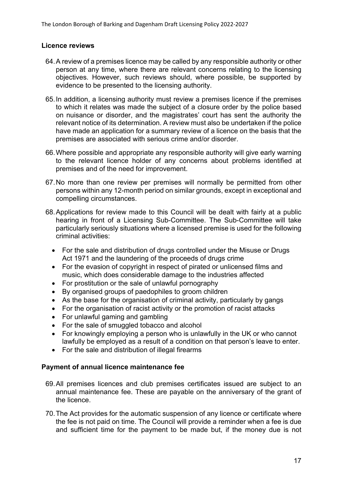# **Licence reviews**

- 64.A review of a premises licence may be called by any responsible authority or other person at any time, where there are relevant concerns relating to the licensing objectives. However, such reviews should, where possible, be supported by evidence to be presented to the licensing authority.
- 65.In addition, a licensing authority must review a premises licence if the premises to which it relates was made the subject of a closure order by the police based on nuisance or disorder, and the magistrates' court has sent the authority the relevant notice of its determination. A review must also be undertaken if the police have made an application for a summary review of a licence on the basis that the premises are associated with serious crime and/or disorder.
- 66.Where possible and appropriate any responsible authority will give early warning to the relevant licence holder of any concerns about problems identified at premises and of the need for improvement.
- 67.No more than one review per premises will normally be permitted from other persons within any 12-month period on similar grounds, except in exceptional and compelling circumstances.
- 68.Applications for review made to this Council will be dealt with fairly at a public hearing in front of a Licensing Sub-Committee. The Sub-Committee will take particularly seriously situations where a licensed premise is used for the following criminal activities:
	- For the sale and distribution of drugs controlled under the Misuse or Drugs Act 1971 and the laundering of the proceeds of drugs crime
	- For the evasion of copyright in respect of pirated or unlicensed films and music, which does considerable damage to the industries affected
	- For prostitution or the sale of unlawful pornography
	- By organised groups of paedophiles to groom children
	- As the base for the organisation of criminal activity, particularly by gangs
	- For the organisation of racist activity or the promotion of racist attacks
	- For unlawful gaming and gambling
	- For the sale of smuggled tobacco and alcohol
	- For knowingly employing a person who is unlawfully in the UK or who cannot lawfully be employed as a result of a condition on that person's leave to enter.
	- For the sale and distribution of illegal firearms

#### **Payment of annual licence maintenance fee**

- 69.All premises licences and club premises certificates issued are subject to an annual maintenance fee. These are payable on the anniversary of the grant of the licence.
- 70.The Act provides for the automatic suspension of any licence or certificate where the fee is not paid on time. The Council will provide a reminder when a fee is due and sufficient time for the payment to be made but, if the money due is not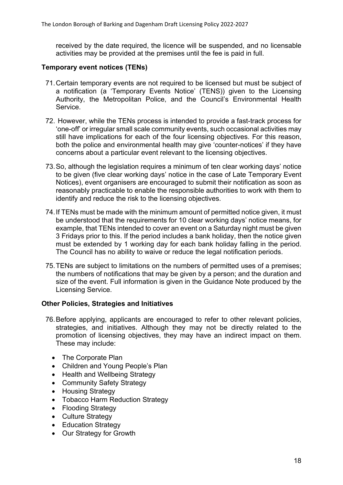received by the date required, the licence will be suspended, and no licensable activities may be provided at the premises until the fee is paid in full.

# **Temporary event notices (TENs)**

- 71.Certain temporary events are not required to be licensed but must be subject of a notification (a 'Temporary Events Notice' (TENS)) given to the Licensing Authority, the Metropolitan Police, and the Council's Environmental Health Service.
- 72. However, while the TENs process is intended to provide a fast-track process for 'one-off' or irregular small scale community events, such occasional activities may still have implications for each of the four licensing objectives. For this reason, both the police and environmental health may give 'counter-notices' if they have concerns about a particular event relevant to the licensing objectives.
- 73.So, although the legislation requires a minimum of ten clear working days' notice to be given (five clear working days' notice in the case of Late Temporary Event Notices), event organisers are encouraged to submit their notification as soon as reasonably practicable to enable the responsible authorities to work with them to identify and reduce the risk to the licensing objectives.
- 74.If TENs must be made with the minimum amount of permitted notice given, it must be understood that the requirements for 10 clear working days' notice means, for example, that TENs intended to cover an event on a Saturday night must be given 3 Fridays prior to this. If the period includes a bank holiday, then the notice given must be extended by 1 working day for each bank holiday falling in the period. The Council has no ability to waive or reduce the legal notification periods.
- 75.TENs are subject to limitations on the numbers of permitted uses of a premises; the numbers of notifications that may be given by a person; and the duration and size of the event. Full information is given in the Guidance Note produced by the Licensing Service.

# **Other Policies, Strategies and Initiatives**

- 76.Before applying, applicants are encouraged to refer to other relevant policies, strategies, and initiatives. Although they may not be directly related to the promotion of licensing objectives, they may have an indirect impact on them. These may include:
	- The Corporate Plan
	- Children and Young People's Plan
	- Health and Wellbeing Strategy
	- Community Safety Strategy
	- Housing Strategy
	- Tobacco Harm Reduction Strategy
	- Flooding Strategy
	- Culture Strategy
	- Education Strategy
	- Our Strategy for Growth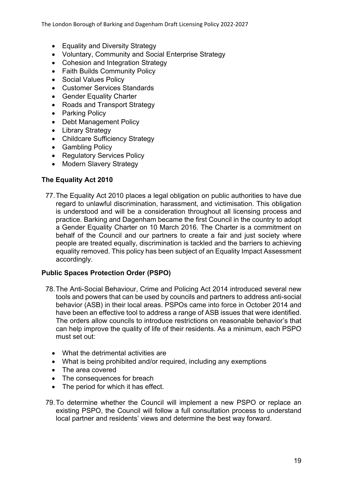The London Borough of Barking and Dagenham Draft Licensing Policy 2022-2027

- Equality and Diversity Strategy
- Voluntary, Community and Social Enterprise Strategy
- Cohesion and Integration Strategy
- Faith Builds Community Policy
- Social Values Policy
- Customer Services Standards
- **Gender Equality Charter**
- Roads and Transport Strategy
- Parking Policy
- Debt Management Policy
- Library Strategy
- Childcare Sufficiency Strategy
- Gambling Policy
- Regulatory Services Policy
- Modern Slavery Strategy

# **The Equality Act 2010**

77.The Equality Act 2010 places a legal obligation on public authorities to have due regard to unlawful discrimination, harassment, and victimisation. This obligation is understood and will be a consideration throughout all licensing process and practice. Barking and Dagenham became the first Council in the country to adopt a Gender Equality Charter on 10 March 2016. The Charter is a commitment on behalf of the Council and our partners to create a fair and just society where people are treated equally, discrimination is tackled and the barriers to achieving equality removed. This policy has been subject of an Equality Impact Assessment accordingly.

#### **Public Spaces Protection Order (PSPO)**

- 78.The Anti-Social Behaviour, Crime and Policing Act 2014 introduced several new tools and powers that can be used by councils and partners to address anti-social behavior (ASB) in their local areas. PSPOs came into force in October 2014 and have been an effective tool to address a range of ASB issues that were identified. The orders allow councils to introduce restrictions on reasonable behavior's that can help improve the quality of life of their residents. As a minimum, each PSPO must set out:
	- What the detrimental activities are
	- What is being prohibited and/or required, including any exemptions
	- The area covered
	- The consequences for breach
	- The period for which it has effect.
- 79.To determine whether the Council will implement a new PSPO or replace an existing PSPO, the Council will follow a full consultation process to understand local partner and residents' views and determine the best way forward.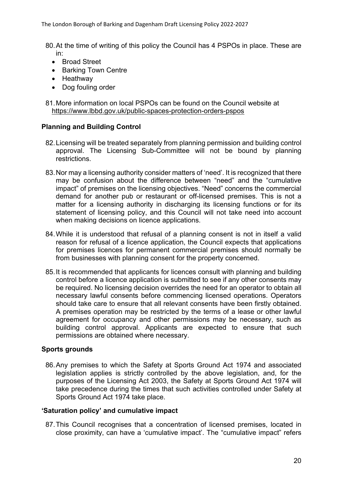- 80.At the time of writing of this policy the Council has 4 PSPOs in place. These are in:
	- Broad Street
	- Barking Town Centre
	- Heathway
	- Dog fouling order

81.More information on local PSPOs can be found on the Council website at <https://www.lbbd.gov.uk/public-spaces-protection-orders-pspos>

# **Planning and Building Control**

- 82.Licensing will be treated separately from planning permission and building control approval. The Licensing Sub-Committee will not be bound by planning restrictions.
- 83.Nor may a licensing authority consider matters of 'need'. It is recognized that there may be confusion about the difference between "need" and the "cumulative impact" of premises on the licensing objectives. "Need" concerns the commercial demand for another pub or restaurant or off-licensed premises. This is not a matter for a licensing authority in discharging its licensing functions or for its statement of licensing policy, and this Council will not take need into account when making decisions on licence applications.
- 84.While it is understood that refusal of a planning consent is not in itself a valid reason for refusal of a licence application, the Council expects that applications for premises licences for permanent commercial premises should normally be from businesses with planning consent for the property concerned.
- 85.It is recommended that applicants for licences consult with planning and building control before a licence application is submitted to see if any other consents may be required. No licensing decision overrides the need for an operator to obtain all necessary lawful consents before commencing licensed operations. Operators should take care to ensure that all relevant consents have been firstly obtained. A premises operation may be restricted by the terms of a lease or other lawful agreement for occupancy and other permissions may be necessary, such as building control approval. Applicants are expected to ensure that such permissions are obtained where necessary.

#### **Sports grounds**

86.Any premises to which the Safety at Sports Ground Act 1974 and associated legislation applies is strictly controlled by the above legislation, and, for the purposes of the Licensing Act 2003, the Safety at Sports Ground Act 1974 will take precedence during the times that such activities controlled under Safety at Sports Ground Act 1974 take place.

#### **'Saturation policy' and cumulative impact**

87.This Council recognises that a concentration of licensed premises, located in close proximity, can have a 'cumulative impact'. The "cumulative impact" refers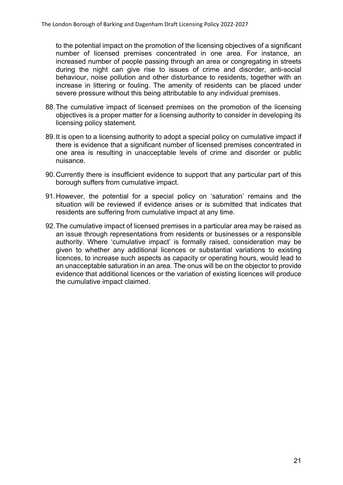to the potential impact on the promotion of the licensing objectives of a significant number of licensed premises concentrated in one area. For instance, an increased number of people passing through an area or congregating in streets during the night can give rise to issues of crime and disorder, anti-social behaviour, noise pollution and other disturbance to residents, together with an increase in littering or fouling. The amenity of residents can be placed under severe pressure without this being attributable to any individual premises.

- 88.The cumulative impact of licensed premises on the promotion of the licensing objectives is a proper matter for a licensing authority to consider in developing its licensing policy statement.
- 89.It is open to a licensing authority to adopt a special policy on cumulative impact if there is evidence that a significant number of licensed premises concentrated in one area is resulting in unacceptable levels of crime and disorder or public nuisance.
- 90.Currently there is insufficient evidence to support that any particular part of this borough suffers from cumulative impact.
- 91.However, the potential for a special policy on 'saturation' remains and the situation will be reviewed if evidence arises or is submitted that indicates that residents are suffering from cumulative impact at any time.
- 92.The cumulative impact of licensed premises in a particular area may be raised as an issue through representations from residents or businesses or a responsible authority. Where 'cumulative impact' is formally raised, consideration may be given to whether any additional licences or substantial variations to existing licences, to increase such aspects as capacity or operating hours, would lead to an unacceptable saturation in an area. The onus will be on the objector to provide evidence that additional licences or the variation of existing licences will produce the cumulative impact claimed.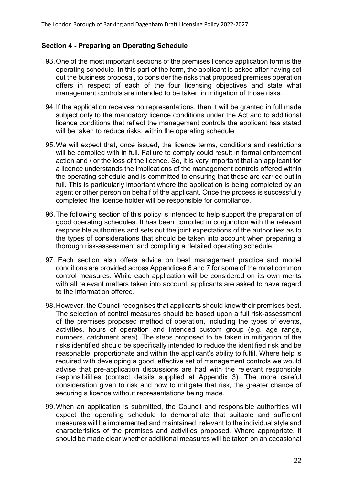# **Section 4 - Preparing an Operating Schedule**

- 93.One of the most important sections of the premises licence application form is the operating schedule. In this part of the form, the applicant is asked after having set out the business proposal, to consider the risks that proposed premises operation offers in respect of each of the four licensing objectives and state what management controls are intended to be taken in mitigation of those risks.
- 94.If the application receives no representations, then it will be granted in full made subject only to the mandatory licence conditions under the Act and to additional licence conditions that reflect the management controls the applicant has stated will be taken to reduce risks, within the operating schedule.
- 95.We will expect that, once issued, the licence terms, conditions and restrictions will be complied with in full. Failure to comply could result in formal enforcement action and / or the loss of the licence. So, it is very important that an applicant for a licence understands the implications of the management controls offered within the operating schedule and is committed to ensuring that these are carried out in full. This is particularly important where the application is being completed by an agent or other person on behalf of the applicant. Once the process is successfully completed the licence holder will be responsible for compliance.
- 96.The following section of this policy is intended to help support the preparation of good operating schedules. It has been compiled in conjunction with the relevant responsible authorities and sets out the joint expectations of the authorities as to the types of considerations that should be taken into account when preparing a thorough risk-assessment and compiling a detailed operating schedule.
- 97. Each section also offers advice on best management practice and model conditions are provided across Appendices 6 and 7 for some of the most common control measures. While each application will be considered on its own merits with all relevant matters taken into account, applicants are asked to have regard to the information offered.
- 98.However, the Council recognises that applicants should know their premises best. The selection of control measures should be based upon a full risk-assessment of the premises proposed method of operation, including the types of events, activities, hours of operation and intended custom group (e.g. age range, numbers, catchment area). The steps proposed to be taken in mitigation of the risks identified should be specifically intended to reduce the identified risk and be reasonable, proportionate and within the applicant's ability to fulfil. Where help is required with developing a good, effective set of management controls we would advise that pre-application discussions are had with the relevant responsible responsibilities (contact details supplied at Appendix 3). The more careful consideration given to risk and how to mitigate that risk, the greater chance of securing a licence without representations being made.
- 99.When an application is submitted, the Council and responsible authorities will expect the operating schedule to demonstrate that suitable and sufficient measures will be implemented and maintained, relevant to the individual style and characteristics of the premises and activities proposed. Where appropriate, it should be made clear whether additional measures will be taken on an occasional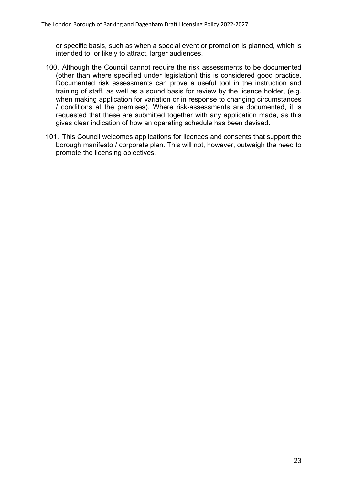or specific basis, such as when a special event or promotion is planned, which is intended to, or likely to attract, larger audiences.

- 100. Although the Council cannot require the risk assessments to be documented (other than where specified under legislation) this is considered good practice. Documented risk assessments can prove a useful tool in the instruction and training of staff, as well as a sound basis for review by the licence holder, (e.g. when making application for variation or in response to changing circumstances / conditions at the premises). Where risk-assessments are documented, it is requested that these are submitted together with any application made, as this gives clear indication of how an operating schedule has been devised.
- 101. This Council welcomes applications for licences and consents that support the borough manifesto / corporate plan. This will not, however, outweigh the need to promote the licensing objectives.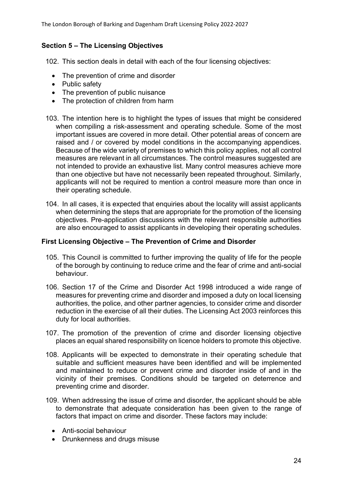# **Section 5 – The Licensing Objectives**

102. This section deals in detail with each of the four licensing objectives:

- The prevention of crime and disorder
- Public safety
- The prevention of public nuisance
- The protection of children from harm
- 103. The intention here is to highlight the types of issues that might be considered when compiling a risk-assessment and operating schedule. Some of the most important issues are covered in more detail. Other potential areas of concern are raised and / or covered by model conditions in the accompanying appendices. Because of the wide variety of premises to which this policy applies, not all control measures are relevant in all circumstances. The control measures suggested are not intended to provide an exhaustive list. Many control measures achieve more than one objective but have not necessarily been repeated throughout. Similarly, applicants will not be required to mention a control measure more than once in their operating schedule.
- 104. In all cases, it is expected that enquiries about the locality will assist applicants when determining the steps that are appropriate for the promotion of the licensing objectives. Pre-application discussions with the relevant responsible authorities are also encouraged to assist applicants in developing their operating schedules.

# **First Licensing Objective – The Prevention of Crime and Disorder**

- 105. This Council is committed to further improving the quality of life for the people of the borough by continuing to reduce crime and the fear of crime and anti-social behaviour.
- 106. Section 17 of the Crime and Disorder Act 1998 introduced a wide range of measures for preventing crime and disorder and imposed a duty on local licensing authorities, the police, and other partner agencies, to consider crime and disorder reduction in the exercise of all their duties. The Licensing Act 2003 reinforces this duty for local authorities.
- 107. The promotion of the prevention of crime and disorder licensing objective places an equal shared responsibility on licence holders to promote this objective.
- 108. Applicants will be expected to demonstrate in their operating schedule that suitable and sufficient measures have been identified and will be implemented and maintained to reduce or prevent crime and disorder inside of and in the vicinity of their premises. Conditions should be targeted on deterrence and preventing crime and disorder.
- 109. When addressing the issue of crime and disorder, the applicant should be able to demonstrate that adequate consideration has been given to the range of factors that impact on crime and disorder. These factors may include:
	- Anti-social behaviour
	- Drunkenness and drugs misuse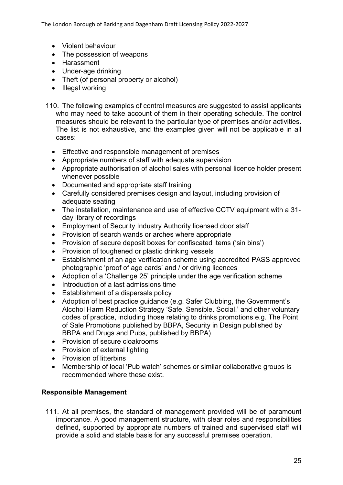The London Borough of Barking and Dagenham Draft Licensing Policy 2022-2027

- Violent behaviour
- The possession of weapons
- Harassment
- Under-age drinking
- Theft (of personal property or alcohol)
- $\bullet$  Illegal working
- 110. The following examples of control measures are suggested to assist applicants who may need to take account of them in their operating schedule. The control measures should be relevant to the particular type of premises and/or activities. The list is not exhaustive, and the examples given will not be applicable in all cases:
	- Effective and responsible management of premises
	- Appropriate numbers of staff with adequate supervision
	- Appropriate authorisation of alcohol sales with personal licence holder present whenever possible
	- Documented and appropriate staff training
	- Carefully considered premises design and layout, including provision of adequate seating
	- The installation, maintenance and use of effective CCTV equipment with a 31 day library of recordings
	- Employment of Security Industry Authority licensed door staff
	- Provision of search wands or arches where appropriate
	- Provision of secure deposit boxes for confiscated items ('sin bins')
	- Provision of toughened or plastic drinking vessels
	- Establishment of an age verification scheme using accredited PASS approved photographic 'proof of age cards' and / or driving licences
	- Adoption of a 'Challenge 25' principle under the age verification scheme
	- Introduction of a last admissions time
	- Establishment of a dispersals policy
	- Adoption of best practice guidance (e.g. Safer Clubbing, the Government's Alcohol Harm Reduction Strategy 'Safe. Sensible. Social.' and other voluntary codes of practice, including those relating to drinks promotions e.g. The Point of Sale Promotions published by BBPA, Security in Design published by BBPA and Drugs and Pubs, published by BBPA)
	- Provision of secure cloakrooms
	- Provision of external lighting
	- Provision of litterbins
	- Membership of local 'Pub watch' schemes or similar collaborative groups is recommended where these exist.

#### **Responsible Management**

111. At all premises, the standard of management provided will be of paramount importance. A good management structure, with clear roles and responsibilities defined, supported by appropriate numbers of trained and supervised staff will provide a solid and stable basis for any successful premises operation.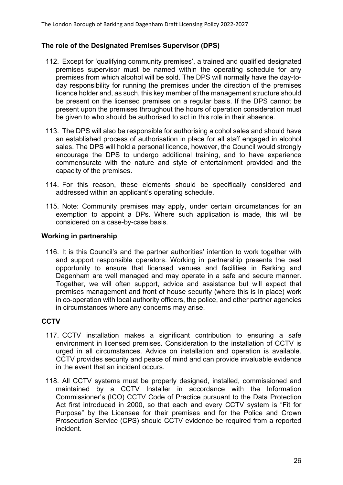# **The role of the Designated Premises Supervisor (DPS)**

- 112. Except for 'qualifying community premises', a trained and qualified designated premises supervisor must be named within the operating schedule for any premises from which alcohol will be sold. The DPS will normally have the day-today responsibility for running the premises under the direction of the premises licence holder and, as such, this key member of the management structure should be present on the licensed premises on a regular basis. If the DPS cannot be present upon the premises throughout the hours of operation consideration must be given to who should be authorised to act in this role in their absence.
- 113. The DPS will also be responsible for authorising alcohol sales and should have an established process of authorisation in place for all staff engaged in alcohol sales. The DPS will hold a personal licence, however, the Council would strongly encourage the DPS to undergo additional training, and to have experience commensurate with the nature and style of entertainment provided and the capacity of the premises.
- 114. For this reason, these elements should be specifically considered and addressed within an applicant's operating schedule.
- 115. Note: Community premises may apply, under certain circumstances for an exemption to appoint a DPs. Where such application is made, this will be considered on a case-by-case basis.

#### **Working in partnership**

116. It is this Council's and the partner authorities' intention to work together with and support responsible operators. Working in partnership presents the best opportunity to ensure that licensed venues and facilities in Barking and Dagenham are well managed and may operate in a safe and secure manner. Together, we will often support, advice and assistance but will expect that premises management and front of house security (where this is in place) work in co-operation with local authority officers, the police, and other partner agencies in circumstances where any concerns may arise.

#### **CCTV**

- 117. CCTV installation makes a significant contribution to ensuring a safe environment in licensed premises. Consideration to the installation of CCTV is urged in all circumstances. Advice on installation and operation is available. CCTV provides security and peace of mind and can provide invaluable evidence in the event that an incident occurs.
- 118. All CCTV systems must be properly designed, installed, commissioned and maintained by a CCTV Installer in accordance with the Information Commissioner's (ICO) CCTV Code of Practice pursuant to the Data Protection Act first introduced in 2000, so that each and every CCTV system is "Fit for Purpose" by the Licensee for their premises and for the Police and Crown Prosecution Service (CPS) should CCTV evidence be required from a reported incident.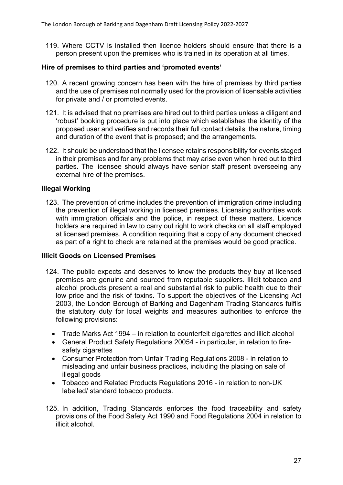119. Where CCTV is installed then licence holders should ensure that there is a person present upon the premises who is trained in its operation at all times.

# **Hire of premises to third parties and 'promoted events'**

- 120. A recent growing concern has been with the hire of premises by third parties and the use of premises not normally used for the provision of licensable activities for private and / or promoted events.
- 121. It is advised that no premises are hired out to third parties unless a diligent and 'robust' booking procedure is put into place which establishes the identity of the proposed user and verifies and records their full contact details; the nature, timing and duration of the event that is proposed; and the arrangements.
- 122. It should be understood that the licensee retains responsibility for events staged in their premises and for any problems that may arise even when hired out to third parties. The licensee should always have senior staff present overseeing any external hire of the premises.

#### **Illegal Working**

123. The prevention of crime includes the prevention of immigration crime including the prevention of illegal working in licensed premises. Licensing authorities work with immigration officials and the police, in respect of these matters. Licence holders are required in law to carry out right to work checks on all staff employed at licensed premises. A condition requiring that a copy of any document checked as part of a right to check are retained at the premises would be good practice.

#### **Illicit Goods on Licensed Premises**

- 124. The public expects and deserves to know the products they buy at licensed premises are genuine and sourced from reputable suppliers. Illicit tobacco and alcohol products present a real and substantial risk to public health due to their low price and the risk of toxins. To support the objectives of the Licensing Act 2003, the London Borough of Barking and Dagenham Trading Standards fulfils the statutory duty for local weights and measures authorities to enforce the following provisions:
	- Trade Marks Act 1994 in relation to counterfeit cigarettes and illicit alcohol
	- General Product Safety Regulations 20054 in particular, in relation to firesafety cigarettes
	- Consumer Protection from Unfair Trading Regulations 2008 in relation to misleading and unfair business practices, including the placing on sale of illegal goods
	- Tobacco and Related Products Regulations 2016 in relation to non-UK labelled/ standard tobacco products.
- 125. In addition, Trading Standards enforces the food traceability and safety provisions of the Food Safety Act 1990 and Food Regulations 2004 in relation to illicit alcohol.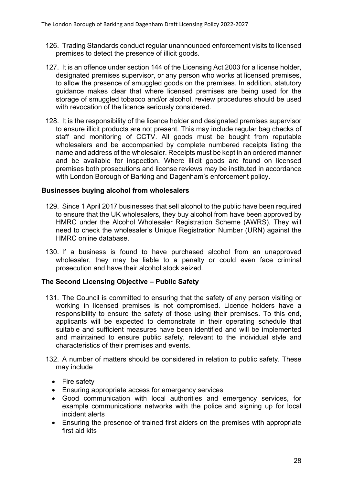- 126. Trading Standards conduct regular unannounced enforcement visits to licensed premises to detect the presence of illicit goods.
- 127. It is an offence under section 144 of the Licensing Act 2003 for a license holder, designated premises supervisor, or any person who works at licensed premises, to allow the presence of smuggled goods on the premises. In addition, statutory guidance makes clear that where licensed premises are being used for the storage of smuggled tobacco and/or alcohol, review procedures should be used with revocation of the licence seriously considered.
- 128. It is the responsibility of the licence holder and designated premises supervisor to ensure illicit products are not present. This may include regular bag checks of staff and monitoring of CCTV. All goods must be bought from reputable wholesalers and be accompanied by complete numbered receipts listing the name and address of the wholesaler. Receipts must be kept in an ordered manner and be available for inspection. Where illicit goods are found on licensed premises both prosecutions and license reviews may be instituted in accordance with London Borough of Barking and Dagenham's enforcement policy.

# **Businesses buying alcohol from wholesalers**

- 129. Since 1 April 2017 businesses that sell alcohol to the public have been required to ensure that the UK wholesalers, they buy alcohol from have been approved by HMRC under the Alcohol Wholesaler Registration Scheme (AWRS). They will need to check the wholesaler's Unique Registration Number (URN) against the HMRC online database.
- 130. If a business is found to have purchased alcohol from an unapproved wholesaler, they may be liable to a penalty or could even face criminal prosecution and have their alcohol stock seized.

#### **The Second Licensing Objective – Public Safety**

- 131. The Council is committed to ensuring that the safety of any person visiting or working in licensed premises is not compromised. Licence holders have a responsibility to ensure the safety of those using their premises. To this end, applicants will be expected to demonstrate in their operating schedule that suitable and sufficient measures have been identified and will be implemented and maintained to ensure public safety, relevant to the individual style and characteristics of their premises and events.
- 132. A number of matters should be considered in relation to public safety. These may include
	- Fire safety
	- **Ensuring appropriate access for emergency services**
	- Good communication with local authorities and emergency services, for example communications networks with the police and signing up for local incident alerts
	- Ensuring the presence of trained first aiders on the premises with appropriate first aid kits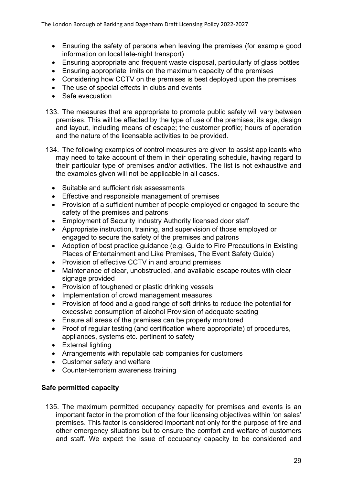- Ensuring the safety of persons when leaving the premises (for example good information on local late-night transport)
- Ensuring appropriate and frequent waste disposal, particularly of glass bottles
- Ensuring appropriate limits on the maximum capacity of the premises
- Considering how CCTV on the premises is best deployed upon the premises
- The use of special effects in clubs and events
- Safe evacuation
- 133. The measures that are appropriate to promote public safety will vary between premises. This will be affected by the type of use of the premises; its age, design and layout, including means of escape; the customer profile; hours of operation and the nature of the licensable activities to be provided.
- 134. The following examples of control measures are given to assist applicants who may need to take account of them in their operating schedule, having regard to their particular type of premises and/or activities. The list is not exhaustive and the examples given will not be applicable in all cases.
	- Suitable and sufficient risk assessments
	- **Effective and responsible management of premises**
	- Provision of a sufficient number of people employed or engaged to secure the safety of the premises and patrons
	- Employment of Security Industry Authority licensed door staff
	- Appropriate instruction, training, and supervision of those employed or engaged to secure the safety of the premises and patrons
	- Adoption of best practice guidance (e.g. Guide to Fire Precautions in Existing Places of Entertainment and Like Premises, The Event Safety Guide)
	- Provision of effective CCTV in and around premises
	- Maintenance of clear, unobstructed, and available escape routes with clear signage provided
	- Provision of toughened or plastic drinking vessels
	- Implementation of crowd management measures
	- Provision of food and a good range of soft drinks to reduce the potential for excessive consumption of alcohol Provision of adequate seating
	- Ensure all areas of the premises can be properly monitored
	- Proof of regular testing (and certification where appropriate) of procedures, appliances, systems etc. pertinent to safety
	- External lighting
	- Arrangements with reputable cab companies for customers
	- Customer safety and welfare
	- Counter-terrorism awareness training

# **Safe permitted capacity**

135. The maximum permitted occupancy capacity for premises and events is an important factor in the promotion of the four licensing objectives within 'on sales' premises. This factor is considered important not only for the purpose of fire and other emergency situations but to ensure the comfort and welfare of customers and staff. We expect the issue of occupancy capacity to be considered and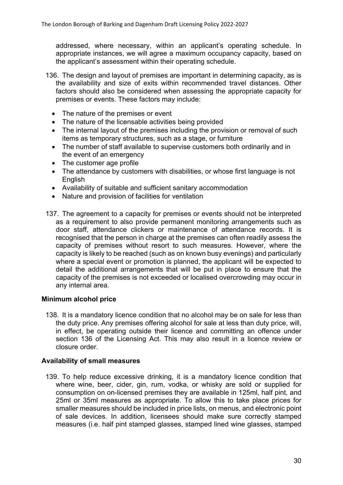addressed, where necessary, within an applicant's operating schedule. In appropriate instances, we will agree a maximum occupancy capacity, based on the applicant's assessment within their operating schedule.

- 136. The design and layout of premises are important in determining capacity, as is the availability and size of exits within recommended travel distances. Other factors should also be considered when assessing the appropriate capacity for premises or events. These factors may include:
	- The nature of the premises or event
	- The nature of the licensable activities being provided
	- The internal layout of the premises including the provision or removal of such items as temporary structures, such as a stage, or furniture
	- The number of staff available to supervise customers both ordinarily and in the event of an emergency
	- The customer age profile
	- The attendance by customers with disabilities, or whose first language is not English
	- Availability of suitable and sufficient sanitary accommodation
	- Nature and provision of facilities for ventilation
- 137. The agreement to a capacity for premises or events should not be interpreted as a requirement to also provide permanent monitoring arrangements such as door staff, attendance clickers or maintenance of attendance records. It is recognised that the person in charge at the premises can often readily assess the capacity of premises without resort to such measures. However, where the capacity is likely to be reached (such as on known busy evenings) and particularly where a special event or promotion is planned, the applicant will be expected to detail the additional arrangements that will be put in place to ensure that the capacity of the premises is not exceeded or localised overcrowding may occur in any internal area.

#### **Minimum alcohol price**

138. It is a mandatory licence condition that no alcohol may be on sale for less than the duty price. Any premises offering alcohol for sale at less than duty price, will, in effect, be operating outside their licence and committing an offence under section 136 of the Licensing Act. This may also result in a licence review or closure order.

#### **Availability of small measures**

139. To help reduce excessive drinking, it is a mandatory licence condition that where wine, beer, cider, gin, rum, vodka, or whisky are sold or supplied for consumption on on-licensed premises they are available in 125ml, half pint, and 25ml or 35ml measures as appropriate. To allow this to take place prices for smaller measures should be included in price lists, on menus, and electronic point of sale devices. In addition, licensees should make sure correctly stamped measures (i.e. half pint stamped glasses, stamped lined wine glasses, stamped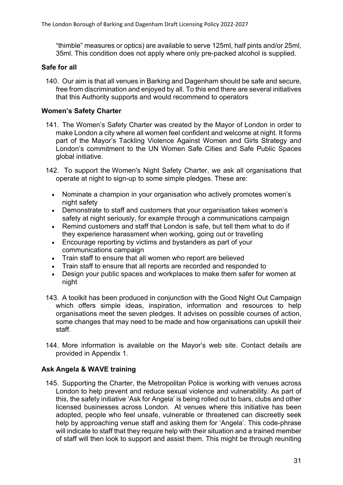"thimble" measures or optics) are available to serve 125ml, half pints and/or 25ml, 35ml. This condition does not apply where only pre-packed alcohol is supplied.

# **Safe for all**

140. Our aim is that all venues in Barking and Dagenham should be safe and secure, free from discrimination and enjoyed by all. To this end there are several initiatives that this Authority supports and would recommend to operators

# **Women's Safety Charter**

- 141. The Women's Safety Charter was created by the Mayor of London in order to make London a city where all women feel confident and welcome at night. It forms part of the Mayor's Tackling Violence Against Women and Girls Strategy and London's commitment to the UN Women Safe Cities and Safe Public Spaces global initiative.
- 142. To support the Women's Night Safety Charter, we ask all organisations that operate at night to sign-up to some simple pledges. These are:
	- Nominate a champion in your organisation who actively promotes women's night safety
	- Demonstrate to staff and customers that your organisation takes women's safety at night seriously, for example through a communications campaign
	- Remind customers and staff that London is safe, but tell them what to do if they experience harassment when working, going out or travelling
	- Encourage reporting by victims and bystanders as part of your communications campaign
	- Train staff to ensure that all women who report are believed
	- Train staff to ensure that all reports are recorded and responded to
	- Design your public spaces and workplaces to make them safer for women at night
- 143. A toolkit has been produced in conjunction with the Good Night Out Campaign which offers simple ideas, inspiration, information and resources to help organisations meet the seven pledges. It advises on possible courses of action, some changes that may need to be made and how organisations can upskill their staff.
- 144. More information is available on the Mayor's web site. Contact details are provided in Appendix 1.

# **Ask Angela & WAVE training**

145. Supporting the Charter, the Metropolitan Police is working with venues across London to help prevent and reduce sexual violence and vulnerability. As part of this, the safety initiative 'Ask for Angela' is being rolled out to bars, clubs and other licensed businesses across London. At venues where this initiative has been adopted, people who feel unsafe, vulnerable or threatened can discreetly seek help by approaching venue staff and asking them for 'Angela'. This code-phrase will indicate to staff that they require help with their situation and a trained member of staff will then look to support and assist them. This might be through reuniting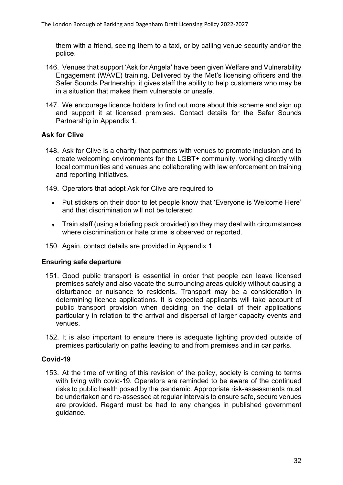them with a friend, seeing them to a taxi, or by calling venue security and/or the police.

- 146. Venues that support 'Ask for Angela' have been given Welfare and Vulnerability Engagement (WAVE) training. Delivered by the Met's licensing officers and the Safer Sounds Partnership, it gives staff the ability to help customers who may be in a situation that makes them vulnerable or unsafe.
- 147. We encourage licence holders to find out more about this scheme and sign up and support it at licensed premises. Contact details for the Safer Sounds Partnership in Appendix 1.

# **Ask for Clive**

- 148. Ask for Clive is a charity that partners with venues to promote inclusion and to create welcoming environments for the LGBT+ community, working directly with local communities and venues and collaborating with law enforcement on training and reporting initiatives.
- 149. Operators that adopt Ask for Clive are required to
	- Put stickers on their door to let people know that 'Everyone is Welcome Here' and that discrimination will not be tolerated
	- Train staff (using a briefing pack provided) so they may deal with circumstances where discrimination or hate crime is observed or reported.
- 150. Again, contact details are provided in Appendix 1.

#### **Ensuring safe departure**

- 151. Good public transport is essential in order that people can leave licensed premises safely and also vacate the surrounding areas quickly without causing a disturbance or nuisance to residents. Transport may be a consideration in determining licence applications. It is expected applicants will take account of public transport provision when deciding on the detail of their applications particularly in relation to the arrival and dispersal of larger capacity events and venues.
- 152. It is also important to ensure there is adequate lighting provided outside of premises particularly on paths leading to and from premises and in car parks.

#### **Covid-19**

153. At the time of writing of this revision of the policy, society is coming to terms with living with covid-19. Operators are reminded to be aware of the continued risks to public health posed by the pandemic. Appropriate risk-assessments must be undertaken and re-assessed at regular intervals to ensure safe, secure venues are provided. Regard must be had to any changes in published government guidance.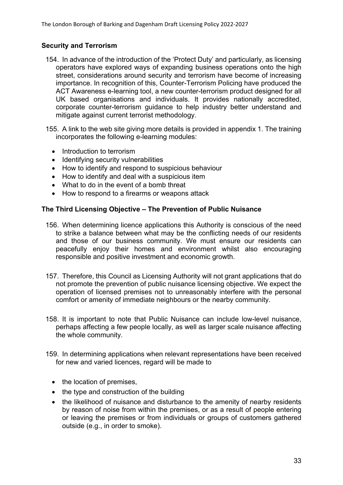# **Security and Terrorism**

- 154. In advance of the introduction of the 'Protect Duty' and particularly, as licensing operators have explored ways of expanding business operations onto the high street, considerations around security and terrorism have become of increasing importance. In recognition of this, Counter-Terrorism Policing have produced the ACT Awareness e-learning tool, a new counter-terrorism product designed for all UK based organisations and individuals. It provides nationally accredited, corporate counter-terrorism guidance to help industry better understand and mitigate against current terrorist methodology.
- 155. A link to the web site giving more details is provided in appendix 1. The training incorporates the following e-learning modules:
	- Introduction to terrorism
	- Identifying security vulnerabilities
	- How to identify and respond to suspicious behaviour
	- How to identify and deal with a suspicious item
	- What to do in the event of a bomb threat
	- How to respond to a firearms or weapons attack

# **The Third Licensing Objective – The Prevention of Public Nuisance**

- 156. When determining licence applications this Authority is conscious of the need to strike a balance between what may be the conflicting needs of our residents and those of our business community. We must ensure our residents can peacefully enjoy their homes and environment whilst also encouraging responsible and positive investment and economic growth.
- 157. Therefore, this Council as Licensing Authority will not grant applications that do not promote the prevention of public nuisance licensing objective. We expect the operation of licensed premises not to unreasonably interfere with the personal comfort or amenity of immediate neighbours or the nearby community.
- 158. It is important to note that Public Nuisance can include low-level nuisance, perhaps affecting a few people locally, as well as larger scale nuisance affecting the whole community.
- 159. In determining applications when relevant representations have been received for new and varied licences, regard will be made to
	- the location of premises.
	- $\bullet$  the type and construction of the building
	- the likelihood of nuisance and disturbance to the amenity of nearby residents by reason of noise from within the premises, or as a result of people entering or leaving the premises or from individuals or groups of customers gathered outside (e.g., in order to smoke).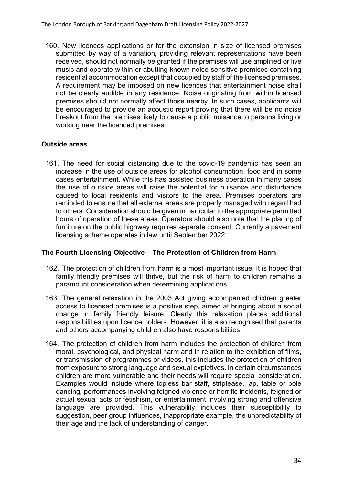160. New licences applications or for the extension in size of licensed premises submitted by way of a variation, providing relevant representations have been received, should not normally be granted if the premises will use amplified or live music and operate within or abutting known noise-sensitive premises containing residential accommodation except that occupied by staff of the licensed premises. A requirement may be imposed on new licences that entertainment noise shall not be clearly audible in any residence. Noise originating from within licensed premises should not normally affect those nearby. In such cases, applicants will be encouraged to provide an acoustic report proving that there will be no noise breakout from the premises likely to cause a public nuisance to persons living or working near the licenced premises.

# **Outside areas**

161. The need for social distancing due to the covid-19 pandemic has seen an increase in the use of outside areas for alcohol consumption, food and in some cases entertainment. While this has assisted business operation in many cases the use of outside areas will raise the potential for nuisance and disturbance caused to local residents and visitors to the area. Premises operators are reminded to ensure that all external areas are properly managed with regard had to others. Consideration should be given in particular to the appropriate permitted hours of operation of these areas. Operators should also note that the placing of furniture on the public highway requires separate consent. Currently a pavement licensing scheme operates in law until September 2022.

#### **The Fourth Licensing Objective – The Protection of Children from Harm**

- 162. The protection of children from harm is a most important issue. It is hoped that family friendly premises will thrive, but the risk of harm to children remains a paramount consideration when determining applications.
- 163. The general relaxation in the 2003 Act giving accompanied children greater access to licensed premises is a positive step, aimed at bringing about a social change in family friendly leisure. Clearly this relaxation places additional responsibilities upon licence holders. However, it is also recognised that parents and others accompanying children also have responsibilities.
- 164. The protection of children from harm includes the protection of children from moral, psychological, and physical harm and in relation to the exhibition of films, or transmission of programmes or videos, this includes the protection of children from exposure to strong language and sexual expletives. In certain circumstances children are more vulnerable and their needs will require special consideration. Examples would include where topless bar staff, striptease, lap, table or pole dancing, performances involving feigned violence or horrific incidents, feigned or actual sexual acts or fetishism, or entertainment involving strong and offensive language are provided. This vulnerability includes their susceptibility to suggestion, peer group influences, inappropriate example, the unpredictability of their age and the lack of understanding of danger.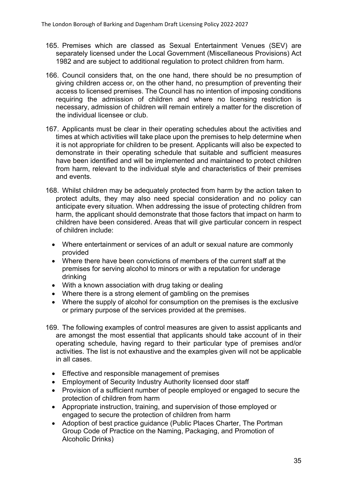- 165. Premises which are classed as Sexual Entertainment Venues (SEV) are separately licensed under the Local Government (Miscellaneous Provisions) Act 1982 and are subject to additional regulation to protect children from harm.
- 166. Council considers that, on the one hand, there should be no presumption of giving children access or, on the other hand, no presumption of preventing their access to licensed premises. The Council has no intention of imposing conditions requiring the admission of children and where no licensing restriction is necessary, admission of children will remain entirely a matter for the discretion of the individual licensee or club.
- 167. Applicants must be clear in their operating schedules about the activities and times at which activities will take place upon the premises to help determine when it is not appropriate for children to be present. Applicants will also be expected to demonstrate in their operating schedule that suitable and sufficient measures have been identified and will be implemented and maintained to protect children from harm, relevant to the individual style and characteristics of their premises and events.
- 168. Whilst children may be adequately protected from harm by the action taken to protect adults, they may also need special consideration and no policy can anticipate every situation. When addressing the issue of protecting children from harm, the applicant should demonstrate that those factors that impact on harm to children have been considered. Areas that will give particular concern in respect of children include:
	- Where entertainment or services of an adult or sexual nature are commonly provided
	- Where there have been convictions of members of the current staff at the premises for serving alcohol to minors or with a reputation for underage drinking
	- With a known association with drug taking or dealing
	- Where there is a strong element of gambling on the premises
	- Where the supply of alcohol for consumption on the premises is the exclusive or primary purpose of the services provided at the premises.
- 169. The following examples of control measures are given to assist applicants and are amongst the most essential that applicants should take account of in their operating schedule, having regard to their particular type of premises and/or activities. The list is not exhaustive and the examples given will not be applicable in all cases.
	- Effective and responsible management of premises
	- Employment of Security Industry Authority licensed door staff
	- Provision of a sufficient number of people employed or engaged to secure the protection of children from harm
	- Appropriate instruction, training, and supervision of those employed or engaged to secure the protection of children from harm
	- Adoption of best practice quidance (Public Places Charter, The Portman Group Code of Practice on the Naming, Packaging, and Promotion of Alcoholic Drinks)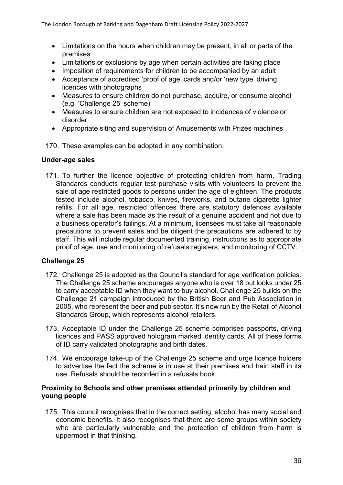- Limitations on the hours when children may be present, in all or parts of the premises
- Limitations or exclusions by age when certain activities are taking place
- Imposition of requirements for children to be accompanied by an adult
- Acceptance of accredited 'proof of age' cards and/or 'new type' driving licences with photographs
- Measures to ensure children do not purchase, acquire, or consume alcohol (e.g. 'Challenge 25' scheme)
- Measures to ensure children are not exposed to incidences of violence or disorder
- Appropriate siting and supervision of Amusements with Prizes machines
- 170. These examples can be adopted in any combination.

#### **Under-age sales**

171. To further the licence objective of protecting children from harm, Trading Standards conducts regular test purchase visits with volunteers to prevent the sale of age restricted goods to persons under the age of eighteen. The products tested include alcohol, tobacco, knives, fireworks, and butane cigarette lighter refills. For all age, restricted offences there are statutory defences available where a sale has been made as the result of a genuine accident and not due to a business operator's failings. At a minimum, licensees must take all reasonable precautions to prevent sales and be diligent the precautions are adhered to by staff. This will include regular documented training, instructions as to appropriate proof of age, use and monitoring of refusals registers, and monitoring of CCTV.

# **Challenge 25**

- 172. Challenge 25 is adopted as the Council's standard for age verification policies. The Challenge 25 scheme encourages anyone who is over 18 but looks under 25 to carry acceptable ID when they want to buy alcohol. Challenge 25 builds on the Challenge 21 campaign introduced by the British Beer and Pub Association in 2005, who represent the beer and pub sector. It's now run by the Retail of Alcohol Standards Group, which represents alcohol retailers.
- 173. Acceptable ID under the Challenge 25 scheme comprises passports, driving licences and PASS approved hologram marked identity cards. All of these forms of ID carry validated photographs and birth dates.
- 174. We encourage take-up of the Challenge 25 scheme and urge licence holders to advertise the fact the scheme is in use at their premises and train staff in its use. Refusals should be recorded in a refusals book.

# **Proximity to Schools and other premises attended primarily by children and young people**

175. This council recognises that in the correct setting, alcohol has many social and economic benefits. It also recognises that there are some groups within society who are particularly vulnerable and the protection of children from harm is uppermost in that thinking.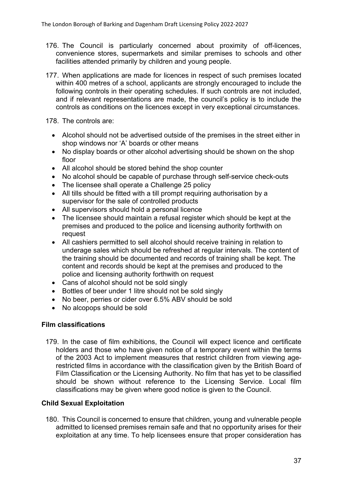- 176. The Council is particularly concerned about proximity of off-licences, convenience stores, supermarkets and similar premises to schools and other facilities attended primarily by children and young people.
- 177. When applications are made for licences in respect of such premises located within 400 metres of a school, applicants are strongly encouraged to include the following controls in their operating schedules. If such controls are not included, and if relevant representations are made, the council's policy is to include the controls as conditions on the licences except in very exceptional circumstances.

178. The controls are:

- Alcohol should not be advertised outside of the premises in the street either in shop windows nor 'A' boards or other means
- No display boards or other alcohol advertising should be shown on the shop floor
- All alcohol should be stored behind the shop counter
- No alcohol should be capable of purchase through self-service check-outs
- The licensee shall operate a Challenge 25 policy
- All tills should be fitted with a till prompt requiring authorisation by a supervisor for the sale of controlled products
- All supervisors should hold a personal licence
- The licensee should maintain a refusal register which should be kept at the premises and produced to the police and licensing authority forthwith on request
- All cashiers permitted to sell alcohol should receive training in relation to underage sales which should be refreshed at regular intervals. The content of the training should be documented and records of training shall be kept. The content and records should be kept at the premises and produced to the police and licensing authority forthwith on request
- Cans of alcohol should not be sold singly
- Bottles of beer under 1 litre should not be sold singly
- No beer, perries or cider over 6.5% ABV should be sold
- No alcopops should be sold

#### **Film classifications**

179. In the case of film exhibitions, the Council will expect licence and certificate holders and those who have given notice of a temporary event within the terms of the 2003 Act to implement measures that restrict children from viewing agerestricted films in accordance with the classification given by the British Board of Film Classification or the Licensing Authority. No film that has yet to be classified should be shown without reference to the Licensing Service. Local film classifications may be given where good notice is given to the Council.

# **Child Sexual Exploitation**

180. This Council is concerned to ensure that children, young and vulnerable people admitted to licensed premises remain safe and that no opportunity arises for their exploitation at any time. To help licensees ensure that proper consideration has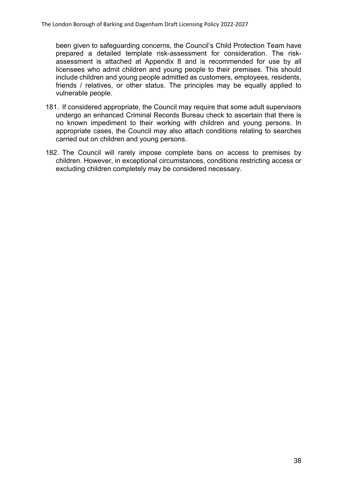been given to safeguarding concerns, the Council's Child Protection Team have prepared a detailed template risk-assessment for consideration. The riskassessment is attached at Appendix 8 and is recommended for use by all licensees who admit children and young people to their premises. This should include children and young people admitted as customers, employees, residents, friends / relatives, or other status. The principles may be equally applied to vulnerable people.

- 181. If considered appropriate, the Council may require that some adult supervisors undergo an enhanced Criminal Records Bureau check to ascertain that there is no known impediment to their working with children and young persons. In appropriate cases, the Council may also attach conditions relating to searches carried out on children and young persons.
- 182. The Council will rarely impose complete bans on access to premises by children. However, in exceptional circumstances, conditions restricting access or excluding children completely may be considered necessary.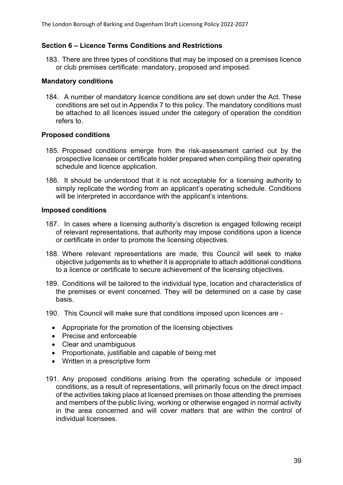# **Section 6 – Licence Terms Conditions and Restrictions**

183. There are three types of conditions that may be imposed on a premises licence or club premises certificate: mandatory, proposed and imposed.

#### **Mandatory conditions**

184. A number of mandatory licence conditions are set down under the Act. These conditions are set out in Appendix 7 to this policy. The mandatory conditions must be attached to all licences issued under the category of operation the condition refers to.

#### **Proposed conditions**

- 185. Proposed conditions emerge from the risk-assessment carried out by the prospective licensee or certificate holder prepared when compiling their operating schedule and licence application.
- 186. It should be understood that it is not acceptable for a licensing authority to simply replicate the wording from an applicant's operating schedule. Conditions will be interpreted in accordance with the applicant's intentions.

#### **Imposed conditions**

- 187. In cases where a licensing authority's discretion is engaged following receipt of relevant representations, that authority may impose conditions upon a licence or certificate in order to promote the licensing objectives.
- 188. Where relevant representations are made, this Council will seek to make objective judgements as to whether it is appropriate to attach additional conditions to a licence or certificate to secure achievement of the licensing objectives.
- 189. Conditions will be tailored to the individual type, location and characteristics of the premises or event concerned. They will be determined on a case by case basis.
- 190. This Council will make sure that conditions imposed upon licences are
	- Appropriate for the promotion of the licensing objectives
	- Precise and enforceable
	- Clear and unambiguous
	- Proportionate, justifiable and capable of being met
	- Written in a prescriptive form
- 191. Any proposed conditions arising from the operating schedule or imposed conditions, as a result of representations, will primarily focus on the direct impact of the activities taking place at licensed premises on those attending the premises and members of the public living, working or otherwise engaged in normal activity in the area concerned and will cover matters that are within the control of individual licensees.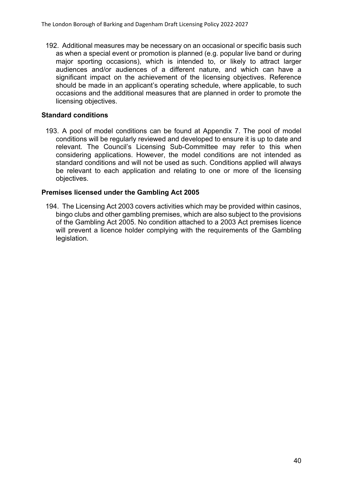192. Additional measures may be necessary on an occasional or specific basis such as when a special event or promotion is planned (e.g. popular live band or during major sporting occasions), which is intended to, or likely to attract larger audiences and/or audiences of a different nature, and which can have a significant impact on the achievement of the licensing objectives. Reference should be made in an applicant's operating schedule, where applicable, to such occasions and the additional measures that are planned in order to promote the licensing objectives.

# **Standard conditions**

193. A pool of model conditions can be found at Appendix 7. The pool of model conditions will be regularly reviewed and developed to ensure it is up to date and relevant. The Council's Licensing Sub-Committee may refer to this when considering applications. However, the model conditions are not intended as standard conditions and will not be used as such. Conditions applied will always be relevant to each application and relating to one or more of the licensing objectives.

#### **Premises licensed under the Gambling Act 2005**

194. The Licensing Act 2003 covers activities which may be provided within casinos, bingo clubs and other gambling premises, which are also subject to the provisions of the Gambling Act 2005. No condition attached to a 2003 Act premises licence will prevent a licence holder complying with the requirements of the Gambling legislation.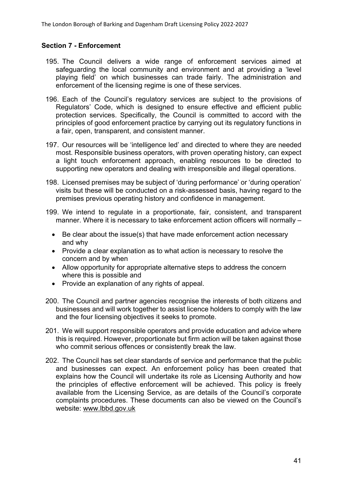# **Section 7 - Enforcement**

- 195. The Council delivers a wide range of enforcement services aimed at safeguarding the local community and environment and at providing a 'level playing field' on which businesses can trade fairly. The administration and enforcement of the licensing regime is one of these services.
- 196. Each of the Council's regulatory services are subject to the provisions of Regulators' Code, which is designed to ensure effective and efficient public protection services. Specifically, the Council is committed to accord with the principles of good enforcement practice by carrying out its regulatory functions in a fair, open, transparent, and consistent manner.
- 197. Our resources will be 'intelligence led' and directed to where they are needed most. Responsible business operators, with proven operating history, can expect a light touch enforcement approach, enabling resources to be directed to supporting new operators and dealing with irresponsible and illegal operations.
- 198. Licensed premises may be subject of 'during performance' or 'during operation' visits but these will be conducted on a risk-assessed basis, having regard to the premises previous operating history and confidence in management.
- 199. We intend to regulate in a proportionate, fair, consistent, and transparent manner. Where it is necessary to take enforcement action officers will normally –
	- Be clear about the issue(s) that have made enforcement action necessary and why
	- Provide a clear explanation as to what action is necessary to resolve the concern and by when
	- Allow opportunity for appropriate alternative steps to address the concern where this is possible and
	- Provide an explanation of any rights of appeal.
- 200. The Council and partner agencies recognise the interests of both citizens and businesses and will work together to assist licence holders to comply with the law and the four licensing objectives it seeks to promote.
- 201. We will support responsible operators and provide education and advice where this is required. However, proportionate but firm action will be taken against those who commit serious offences or consistently break the law.
- 202. The Council has set clear standards of service and performance that the public and businesses can expect. An enforcement policy has been created that explains how the Council will undertake its role as Licensing Authority and how the principles of effective enforcement will be achieved. This policy is freely available from the Licensing Service, as are details of the Council's corporate complaints procedures. These documents can also be viewed on the Council's website: [www.lbbd.gov.uk](http://www.lbbd.gov.uk/)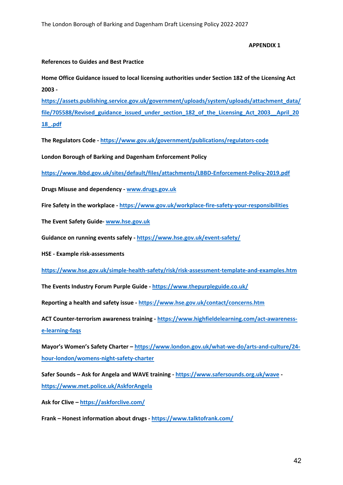**APPENDIX 1**

#### **References to Guides and Best Practice**

**Home Office Guidance issued to local licensing authorities under Section 182 of the Licensing Act 2003 -**

**[https://assets.publishing.service.gov.uk/government/uploads/system/uploads/attachment\\_data/](https://assets.publishing.service.gov.uk/government/uploads/system/uploads/attachment_data/file/705588/Revised_guidance_issued_under_section_182_of_the_Licensing_Act_2003__April_2018_.pdf) [file/705588/Revised\\_guidance\\_issued\\_under\\_section\\_182\\_of\\_the\\_Licensing\\_Act\\_2003\\_\\_April\\_20](https://assets.publishing.service.gov.uk/government/uploads/system/uploads/attachment_data/file/705588/Revised_guidance_issued_under_section_182_of_the_Licensing_Act_2003__April_2018_.pdf) [18\\_.pdf](https://assets.publishing.service.gov.uk/government/uploads/system/uploads/attachment_data/file/705588/Revised_guidance_issued_under_section_182_of_the_Licensing_Act_2003__April_2018_.pdf)**

**The Regulators Code - <https://www.gov.uk/government/publications/regulators-code>**

**London Borough of Barking and Dagenham Enforcement Policy**

**<https://www.lbbd.gov.uk/sites/default/files/attachments/LBBD-Enforcement-Policy-2019.pdf>**

**Drugs Misuse and dependency - [www.drugs.gov.uk](http://www.drugs.gov.uk/)**

**Fire Safety in the workplace - <https://www.gov.uk/workplace-fire-safety-your-responsibilities>**

**The Event Safety Guide- [www.hse.gov.uk](http://www.hse.gov.uk/)**

**Guidance on running events safely - <https://www.hse.gov.uk/event-safety/>**

**HSE - Example risk-assessments**

**<https://www.hse.gov.uk/simple-health-safety/risk/risk-assessment-template-and-examples.htm>**

**The Events Industry Forum Purple Guide - <https://www.thepurpleguide.co.uk/>**

**Reporting a health and safety issue - <https://www.hse.gov.uk/contact/concerns.htm>**

**ACT Counter-terrorism awareness training - [https://www.highfieldelearning.com/act-awareness](https://www.highfieldelearning.com/act-awareness-e-learning-faqs)[e-learning-faqs](https://www.highfieldelearning.com/act-awareness-e-learning-faqs)**

**Mayor's Women's Safety Charter – [https://www.london.gov.uk/what-we-do/arts-and-culture/24](https://www.london.gov.uk/what-we-do/arts-and-culture/24-hour-london/womens-night-safety-charter) [hour-london/womens-night-safety-charter](https://www.london.gov.uk/what-we-do/arts-and-culture/24-hour-london/womens-night-safety-charter)**

**Safer Sounds – Ask for Angela and WAVE training - <https://www.safersounds.org.uk/wave> <https://www.met.police.uk/AskforAngela>**

**Ask for Clive – <https://askforclive.com/>**

**Frank – Honest information about drugs - <https://www.talktofrank.com/>**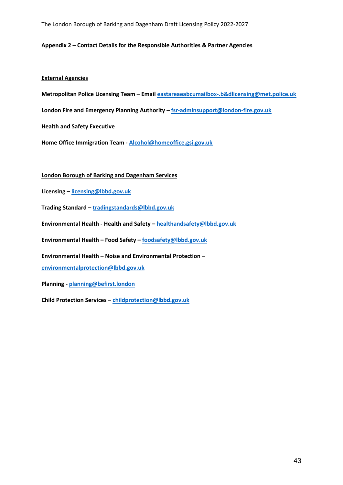The London Borough of Barking and Dagenham Draft Licensing Policy 2022-2027

#### **Appendix 2 – Contact Details for the Responsible Authorities & Partner Agencies**

#### **External Agencies**

**Metropolitan Police Licensing Team – Email [eastareaeabcumailbox-.b&dlicensing@met.police.uk](mailto:eastareaeabcumailbox-.b&dlicensing@met.police.uk)**

**London Fire and Emergency Planning Authority – [fsr-adminsupport@london-fire.gov.uk](mailto:fsr-adminsupport@london-fire.gov.uk)**

**Health and Safety Executive**

**Home Office Immigration Team - [Alcohol@homeoffice.gsi.gov.uk](mailto:Alcohol@homeoffice.gsi.gov.uk)**

#### **London Borough of Barking and Dagenham Services**

**Licensing – [licensing@lbbd.gov.uk](mailto:licensing@lbbd.gov.uk)**

**Trading Standard – [tradingstandards@lbbd.gov.uk](mailto:tradingstandards@lbbd.gov.uk)**

**Environmental Health - Health and Safety – [healthandsafety@lbbd.gov.uk](mailto:healthandsafety@lbbd.gov.uk)**

**Environmental Health – Food Safety – [foodsafety@lbbd.gov.uk](mailto:foodsafety@lbbd.gov.uk)**

**Environmental Health – Noise and Environmental Protection –**

**[environmentalprotection@lbbd.gov.uk](mailto:environmentalprotection@lbbd.gov.uk)**

**Planning - [planning@befirst.london](mailto:planning@befirst.london)**

**Child Protection Services – [childprotection@lbbd.gov.uk](mailto:childprotection@lbbd.gov.uk)**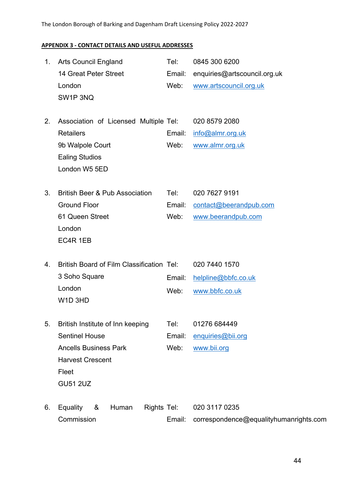# The London Borough of Barking and Dagenham Draft Licensing Policy 2022-2027

# **APPENDIX 3 - CONTACT DETAILS AND USEFUL ADDRESSES**

| 1. | <b>Arts Council England</b>                               | Tel:   | 0845 300 6200                          |
|----|-----------------------------------------------------------|--------|----------------------------------------|
|    | 14 Great Peter Street                                     | Email: | enquiries@artscouncil.org.uk           |
|    | London                                                    | Web:   | www.artscouncil.org.uk                 |
|    | SW1P3NQ                                                   |        |                                        |
| 2. | Association of Licensed Multiple Tel:                     |        | 020 8579 2080                          |
|    | <b>Retailers</b>                                          | Email: | info@almr.org.uk                       |
|    | 9b Walpole Court                                          | Web:   | www.almr.org.uk                        |
|    | <b>Ealing Studios</b>                                     |        |                                        |
|    | London W5 5ED                                             |        |                                        |
|    |                                                           |        |                                        |
| 3. | <b>British Beer &amp; Pub Association</b>                 | Tel:   | 020 7627 9191                          |
|    | <b>Ground Floor</b>                                       | Email: | contact@beerandpub.com                 |
|    | 61 Queen Street                                           | Web:   | www.beerandpub.com                     |
|    | London                                                    |        |                                        |
|    | EC4R 1EB                                                  |        |                                        |
| 4. | <b>British Board of Film Classification Tel:</b>          |        | 020 7440 1570                          |
|    | 3 Soho Square                                             | Email: | helpline@bbfc.co.uk                    |
|    | London                                                    | Web:   | www.bbfc.co.uk                         |
|    | W <sub>1</sub> D <sub>3HD</sub>                           |        |                                        |
|    |                                                           | Tel:   | 01276 684449                           |
| 5. | British Institute of Inn keeping<br><b>Sentinel House</b> | Email: |                                        |
|    | <b>Ancells Business Park</b>                              | Web:   | enquiries@bii.org<br>www.bii.org       |
|    | <b>Harvest Crescent</b>                                   |        |                                        |
|    | Fleet                                                     |        |                                        |
|    | <b>GU51 2UZ</b>                                           |        |                                        |
|    |                                                           |        |                                        |
| 6. | &<br>Rights Tel:<br><b>Equality</b><br>Human              |        | 020 3117 0235                          |
|    | Commission                                                | Email: | correspondence@equalityhumanrights.com |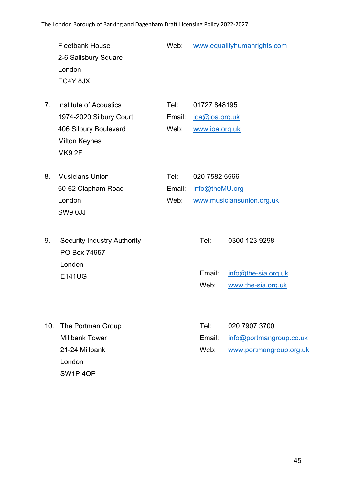|                                  | <b>Fleetbank House</b><br>2-6 Salisbury Square<br>London<br>EC4Y 8JX                                               | Web:                   |                                                  | www.equalityhumanrights.com                                         |
|----------------------------------|--------------------------------------------------------------------------------------------------------------------|------------------------|--------------------------------------------------|---------------------------------------------------------------------|
| $7_{\scriptscriptstyle{\ddots}}$ | Institute of Acoustics<br>1974-2020 Silbury Court<br>406 Silbury Boulevard<br><b>Milton Keynes</b><br><b>MK92F</b> | Tel:<br>Email:<br>Web: | 01727 848195<br>ioa@ioa.org.uk<br>www.ioa.org.uk |                                                                     |
| 8.                               | <b>Musicians Union</b><br>60-62 Clapham Road<br>London<br>SW9 0JJ                                                  | Tel:<br>Email:<br>Web: | 020 7582 5566<br>info@theMU.org                  | www.musiciansunion.org.uk                                           |
| 9.                               | <b>Security Industry Authority</b><br>PO Box 74957<br>London<br><b>E141UG</b>                                      |                        | Tel:<br>Email:<br>Web:                           | 0300 123 9298<br>info@the-sia.org.uk<br>www.the-sia.org.uk          |
| 10.                              | The Portman Group<br><b>Millbank Tower</b><br>21-24 Millbank<br>London                                             |                        | Tel:<br>Email:<br>Web:                           | 020 7907 3700<br>info@portmangroup.co.uk<br>www.portmangroup.org.uk |

SW1P 4QP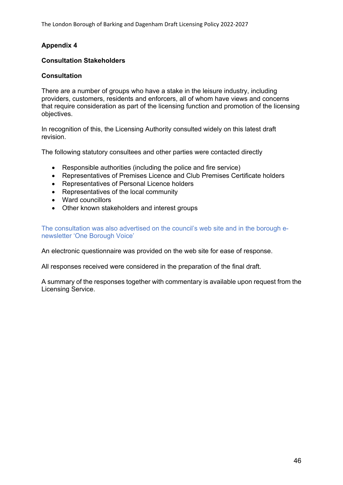The London Borough of Barking and Dagenham Draft Licensing Policy 2022-2027

# **Appendix 4**

#### **Consultation Stakeholders**

#### **Consultation**

There are a number of groups who have a stake in the leisure industry, including providers, customers, residents and enforcers, all of whom have views and concerns that require consideration as part of the licensing function and promotion of the licensing objectives.

In recognition of this, the Licensing Authority consulted widely on this latest draft revision.

The following statutory consultees and other parties were contacted directly

- Responsible authorities (including the police and fire service)
- Representatives of Premises Licence and Club Premises Certificate holders
- Representatives of Personal Licence holders
- Representatives of the local community
- Ward councillors
- Other known stakeholders and interest groups

The consultation was also advertised on the council's web site and in the borough enewsletter 'One Borough Voice'

An electronic questionnaire was provided on the web site for ease of response.

All responses received were considered in the preparation of the final draft.

A summary of the responses together with commentary is available upon request from the Licensing Service.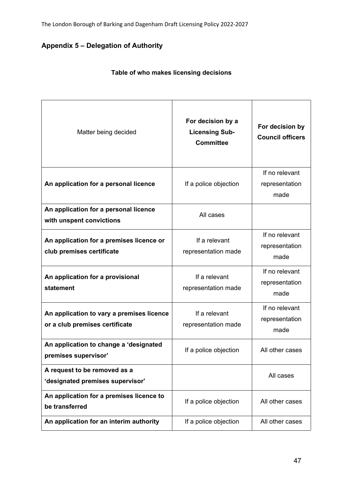# **Appendix 5 – Delegation of Authority**

| Matter being decided                                                        | For decision by a<br><b>Licensing Sub-</b><br><b>Committee</b> | For decision by<br><b>Council officers</b> |
|-----------------------------------------------------------------------------|----------------------------------------------------------------|--------------------------------------------|
| An application for a personal licence                                       | If a police objection                                          | If no relevant<br>representation<br>made   |
| An application for a personal licence<br>with unspent convictions           | All cases                                                      |                                            |
| An application for a premises licence or<br>club premises certificate       | If a relevant<br>representation made                           | If no relevant<br>representation<br>made   |
| An application for a provisional<br>statement                               | If a relevant<br>representation made                           | If no relevant<br>representation<br>made   |
| An application to vary a premises licence<br>or a club premises certificate | If a relevant<br>representation made                           | If no relevant<br>representation<br>made   |
| An application to change a 'designated<br>premises supervisor'              | If a police objection                                          | All other cases                            |
| A request to be removed as a<br>'designated premises supervisor'            |                                                                | All cases                                  |
| An application for a premises licence to<br>be transferred                  | If a police objection                                          | All other cases                            |
| An application for an interim authority                                     | If a police objection                                          | All other cases                            |

# **Table of who makes licensing decisions**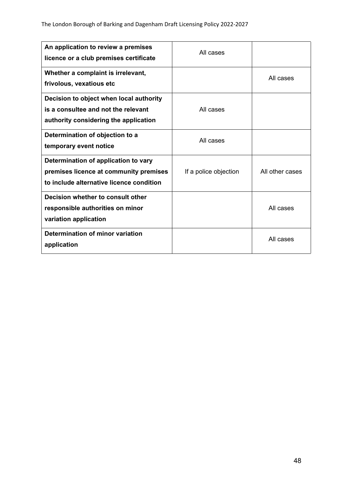| An application to review a premises<br>licence or a club premises certificate                                              | All cases             |                 |
|----------------------------------------------------------------------------------------------------------------------------|-----------------------|-----------------|
| Whether a complaint is irrelevant,<br>frivolous, vexatious etc                                                             |                       | All cases       |
| Decision to object when local authority<br>is a consultee and not the relevant<br>authority considering the application    | All cases             |                 |
| Determination of objection to a<br>temporary event notice                                                                  | All cases             |                 |
| Determination of application to vary<br>premises licence at community premises<br>to include alternative licence condition | If a police objection | All other cases |
| Decision whether to consult other<br>responsible authorities on minor<br>variation application                             |                       | All cases       |
| <b>Determination of minor variation</b><br>application                                                                     |                       | All cases       |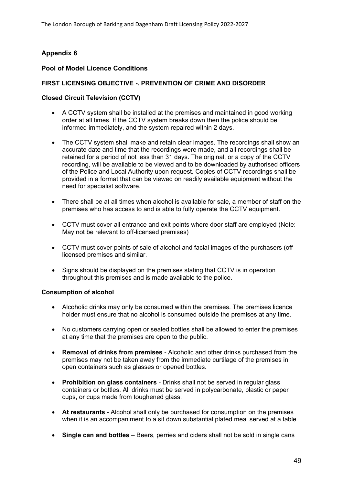# **Appendix 6**

#### **Pool of Model Licence Conditions**

#### **FIRST LICENSING OBJECTIVE -. PREVENTION OF CRIME AND DISORDER**

### **Closed Circuit Television (CCTV)**

- A CCTV system shall be installed at the premises and maintained in good working order at all times. If the CCTV system breaks down then the police should be informed immediately, and the system repaired within 2 days.
- The CCTV system shall make and retain clear images. The recordings shall show an accurate date and time that the recordings were made, and all recordings shall be retained for a period of not less than 31 days. The original, or a copy of the CCTV recording, will be available to be viewed and to be downloaded by authorised officers of the Police and Local Authority upon request. Copies of CCTV recordings shall be provided in a format that can be viewed on readily available equipment without the need for specialist software.
- There shall be at all times when alcohol is available for sale, a member of staff on the premises who has access to and is able to fully operate the CCTV equipment.
- CCTV must cover all entrance and exit points where door staff are employed (Note: May not be relevant to off-licensed premises)
- CCTV must cover points of sale of alcohol and facial images of the purchasers (offlicensed premises and similar.
- Signs should be displayed on the premises stating that CCTV is in operation throughout this premises and is made available to the police.

#### **Consumption of alcohol**

- Alcoholic drinks may only be consumed within the premises. The premises licence holder must ensure that no alcohol is consumed outside the premises at any time.
- No customers carrying open or sealed bottles shall be allowed to enter the premises at any time that the premises are open to the public.
- **Removal of drinks from premises** Alcoholic and other drinks purchased from the premises may not be taken away from the immediate curtilage of the premises in open containers such as glasses or opened bottles.
- **Prohibition on glass containers** Drinks shall not be served in regular glass containers or bottles. All drinks must be served in polycarbonate, plastic or paper cups, or cups made from toughened glass.
- **At restaurants** Alcohol shall only be purchased for consumption on the premises when it is an accompaniment to a sit down substantial plated meal served at a table.
- **Single can and bottles** Beers, perries and ciders shall not be sold in single cans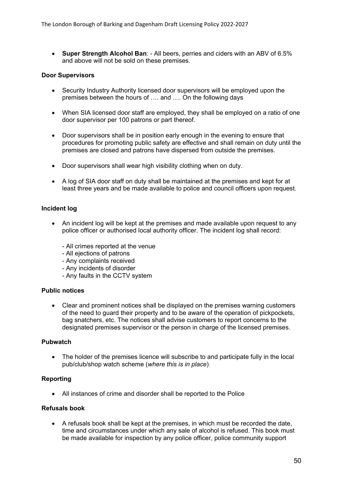**Super Strength Alcohol Ban**: - All beers, perries and ciders with an ABV of 6.5% and above will not be sold on these premises.

#### **Door Supervisors**

- Security Industry Authority licensed door supervisors will be employed upon the premises between the hours of …. and …. On the following days
- When SIA licensed door staff are employed, they shall be employed on a ratio of one door supervisor per 100 patrons or part thereof.
- Door supervisors shall be in position early enough in the evening to ensure that procedures for promoting public safety are effective and shall remain on duty until the premises are closed and patrons have dispersed from outside the premises.
- Door supervisors shall wear high visibility clothing when on duty.
- A log of SIA door staff on duty shall be maintained at the premises and kept for at least three years and be made available to police and council officers upon request.

#### **Incident log**

- An incident log will be kept at the premises and made available upon request to any police officer or authorised local authority officer. The incident log shall record:
	- All crimes reported at the venue
	- All ejections of patrons
	- Any complaints received
	- Any incidents of disorder
	- Any faults in the CCTV system

#### **Public notices**

 Clear and prominent notices shall be displayed on the premises warning customers of the need to guard their property and to be aware of the operation of pickpockets, bag snatchers, etc. The notices shall advise customers to report concerns to the designated premises supervisor or the person in charge of the licensed premises.

#### **Pubwatch**

 The holder of the premises licence will subscribe to and participate fully in the local pub/club/shop watch scheme (*where this is in place*)

#### **Reporting**

All instances of crime and disorder shall be reported to the Police

#### **Refusals book**

 A refusals book shall be kept at the premises, in which must be recorded the date, time and circumstances under which any sale of alcohol is refused. This book must be made available for inspection by any police officer, police community support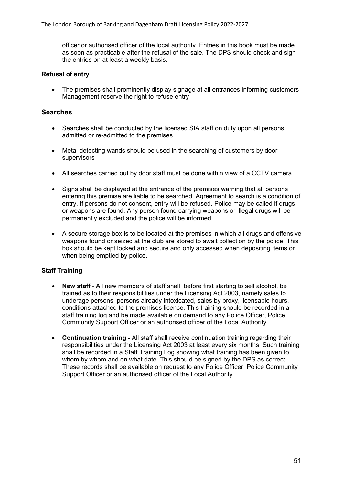officer or authorised officer of the local authority. Entries in this book must be made as soon as practicable after the refusal of the sale. The DPS should check and sign the entries on at least a weekly basis.

#### **Refusal of entry**

• The premises shall prominently display signage at all entrances informing customers Management reserve the right to refuse entry

#### **Searches**

- Searches shall be conducted by the licensed SIA staff on duty upon all persons admitted or re-admitted to the premises
- Metal detecting wands should be used in the searching of customers by door supervisors
- All searches carried out by door staff must be done within view of a CCTV camera.
- Signs shall be displayed at the entrance of the premises warning that all persons entering this premise are liable to be searched. Agreement to search is a condition of entry. If persons do not consent, entry will be refused. Police may be called if drugs or weapons are found. Any person found carrying weapons or illegal drugs will be permanently excluded and the police will be informed
- A secure storage box is to be located at the premises in which all drugs and offensive weapons found or seized at the club are stored to await collection by the police. This box should be kept locked and secure and only accessed when depositing items or when being emptied by police.

#### **Staff Training**

- **New staff** All new members of staff shall, before first starting to sell alcohol, be trained as to their responsibilities under the Licensing Act 2003, namely sales to underage persons, persons already intoxicated, sales by proxy, licensable hours, conditions attached to the premises licence. This training should be recorded in a staff training log and be made available on demand to any Police Officer, Police Community Support Officer or an authorised officer of the Local Authority.
- **Continuation training -** All staff shall receive continuation training regarding their responsibilities under the Licensing Act 2003 at least every six months. Such training shall be recorded in a Staff Training Log showing what training has been given to whom by whom and on what date. This should be signed by the DPS as correct. These records shall be available on request to any Police Officer, Police Community Support Officer or an authorised officer of the Local Authority.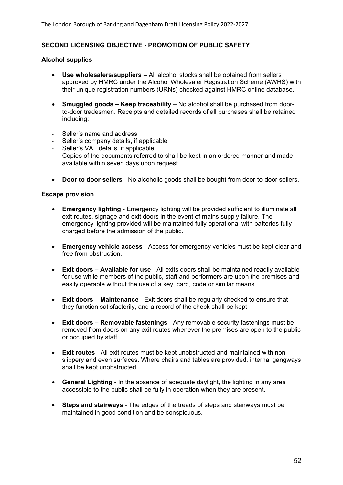#### **SECOND LICENSING OBJECTIVE - PROMOTION OF PUBLIC SAFETY**

#### **Alcohol supplies**

- **Use wholesalers/suppliers –** All alcohol stocks shall be obtained from sellers approved by HMRC under the Alcohol Wholesaler Registration Scheme (AWRS) with their unique registration numbers (URNs) checked against HMRC online database.
- **Smuggled goods – Keep traceability** No alcohol shall be purchased from doorto-door tradesmen. Receipts and detailed records of all purchases shall be retained including:
- Seller's name and address
- Seller's company details, if applicable
- Seller's VAT details, if applicable.
- Copies of the documents referred to shall be kept in an ordered manner and made available within seven days upon request.
- **Door to door sellers** No alcoholic goods shall be bought from door-to-door sellers.

#### **Escape provision**

- **Emergency lighting** Emergency lighting will be provided sufficient to illuminate all exit routes, signage and exit doors in the event of mains supply failure. The emergency lighting provided will be maintained fully operational with batteries fully charged before the admission of the public.
- **Emergency vehicle access** Access for emergency vehicles must be kept clear and free from obstruction.
- **Exit doors – Available for use** All exits doors shall be maintained readily available for use while members of the public, staff and performers are upon the premises and easily operable without the use of a key, card, code or similar means.
- **Exit doors Maintenance** Exit doors shall be regularly checked to ensure that they function satisfactorily, and a record of the check shall be kept.
- **Exit doors – Removable fastenings** Any removable security fastenings must be removed from doors on any exit routes whenever the premises are open to the public or occupied by staff.
- **Exit routes** All exit routes must be kept unobstructed and maintained with nonslippery and even surfaces. Where chairs and tables are provided, internal gangways shall be kept unobstructed
- **General Lighting** In the absence of adequate daylight, the lighting in any area accessible to the public shall be fully in operation when they are present.
- **Steps and stairways** The edges of the treads of steps and stairways must be maintained in good condition and be conspicuous.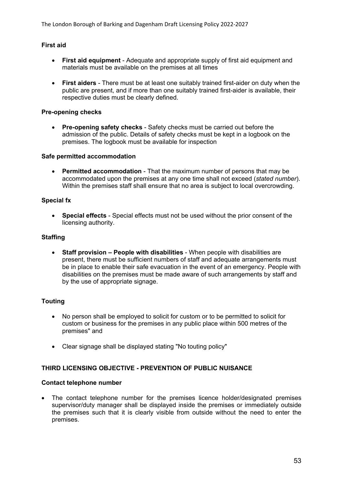#### **First aid**

- **First aid equipment** Adequate and appropriate supply of first aid equipment and materials must be available on the premises at all times
- **First aiders** There must be at least one suitably trained first-aider on duty when the public are present, and if more than one suitably trained first-aider is available, their respective duties must be clearly defined.

#### **Pre-opening checks**

 **Pre-opening safety checks** - Safety checks must be carried out before the admission of the public. Details of safety checks must be kept in a logbook on the premises. The logbook must be available for inspection

#### **Safe permitted accommodation**

 **Permitted accommodation** - That the maximum number of persons that may be accommodated upon the premises at any one time shall not exceed (*stated number*). Within the premises staff shall ensure that no area is subject to local overcrowding.

#### **Special fx**

 **Special effects** - Special effects must not be used without the prior consent of the licensing authority.

#### **Staffing**

 **Staff provision – People with disabilities** - When people with disabilities are present, there must be sufficient numbers of staff and adequate arrangements must be in place to enable their safe evacuation in the event of an emergency. People with disabilities on the premises must be made aware of such arrangements by staff and by the use of appropriate signage.

#### **Touting**

- No person shall be employed to solicit for custom or to be permitted to solicit for custom or business for the premises in any public place within 500 metres of the premises" and
- Clear signage shall be displayed stating "No touting policy"

#### **THIRD LICENSING OBJECTIVE - PREVENTION OF PUBLIC NUISANCE**

#### **Contact telephone number**

 The contact telephone number for the premises licence holder/designated premises supervisor/duty manager shall be displayed inside the premises or immediately outside the premises such that it is clearly visible from outside without the need to enter the premises.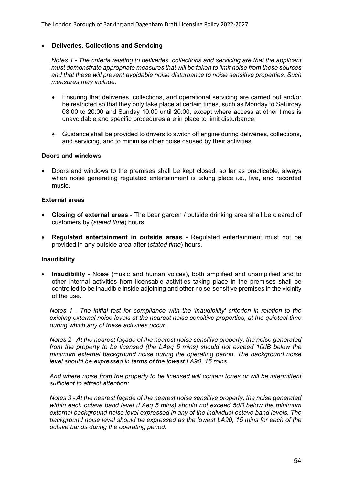#### **Deliveries, Collections and Servicing**

*Notes 1 - The criteria relating to deliveries, collections and servicing are that the applicant must demonstrate appropriate measures that will be taken to limit noise from these sources and that these will prevent avoidable noise disturbance to noise sensitive properties. Such measures may include:*

- Ensuring that deliveries, collections, and operational servicing are carried out and/or be restricted so that they only take place at certain times, such as Monday to Saturday 08:00 to 20:00 and Sunday 10:00 until 20:00, except where access at other times is unavoidable and specific procedures are in place to limit disturbance.
- Guidance shall be provided to drivers to switch off engine during deliveries, collections, and servicing, and to minimise other noise caused by their activities.

#### **Doors and windows**

 Doors and windows to the premises shall be kept closed, so far as practicable, always when noise generating regulated entertainment is taking place i.e., live, and recorded music.

#### **External areas**

- **Closing of external areas** The beer garden / outside drinking area shall be cleared of customers by (*stated time*) hours
- **Regulated entertainment in outside areas** Regulated entertainment must not be provided in any outside area after (*stated time*) hours.

#### **Inaudibility**

 **Inaudibility** - Noise (music and human voices), both amplified and unamplified and to other internal activities from licensable activities taking place in the premises shall be controlled to be inaudible inside adjoining and other noise-sensitive premises in the vicinity of the use.

*Notes 1 - The initial test for compliance with the 'inaudibility' criterion in relation to the existing external noise levels at the nearest noise sensitive properties, at the quietest time during which any of these activities occur:*

*Notes 2 - At the nearest façade of the nearest noise sensitive property, the noise generated from the property to be licensed (the LAeq 5 mins) should not exceed 10dB below the minimum external background noise during the operating period. The background noise level should be expressed in terms of the lowest LA90, 15 mins.*

*And where noise from the property to be licensed will contain tones or will be intermittent sufficient to attract attention:*

*Notes 3 - At the nearest façade of the nearest noise sensitive property, the noise generated within each octave band level (LAeq 5 mins) should not exceed 5dB below the minimum external background noise level expressed in any of the individual octave band levels. The background noise level should be expressed as the lowest LA90, 15 mins for each of the octave bands during the operating period.*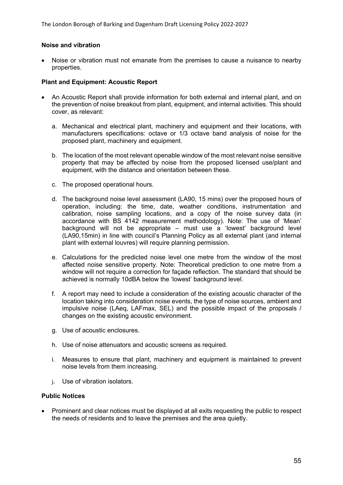#### **Noise and vibration**

 Noise or vibration must not emanate from the premises to cause a nuisance to nearby properties.

#### **Plant and Equipment: Acoustic Report**

- An Acoustic Report shall provide information for both external and internal plant, and on the prevention of noise breakout from plant, equipment, and internal activities. This should cover, as relevant:
	- a. Mechanical and electrical plant, machinery and equipment and their locations, with manufacturers specifications: octave or 1/3 octave band analysis of noise for the proposed plant, machinery and equipment.
	- b. The location of the most relevant openable window of the most relevant noise sensitive property that may be affected by noise from the proposed licensed use/plant and equipment, with the distance and orientation between these.
	- c. The proposed operational hours.
	- d. The background noise level assessment (LA90, 15 mins) over the proposed hours of operation, including: the time, date, weather conditions, instrumentation and calibration, noise sampling locations, and a copy of the noise survey data (in accordance with BS 4142 measurement methodology). Note: The use of 'Mean' background will not be appropriate – must use a 'lowest' background level (LA90,15min) in line with council's Planning Policy as all external plant (and internal plant with external louvres) will require planning permission.
	- e. Calculations for the predicted noise level one metre from the window of the most affected noise sensitive property. Note: Theoretical prediction to one metre from a window will not require a correction for façade reflection. The standard that should be achieved is normally 10dBA below the 'lowest' background level.
	- f. A report may need to include a consideration of the existing acoustic character of the location taking into consideration noise events, the type of noise sources, ambient and impulsive noise (LAeq, LAFmax, SEL) and the possible impact of the proposals / changes on the existing acoustic environment.
	- g. Use of acoustic enclosures.
	- h. Use of noise attenuators and acoustic screens as required.
	- i. Measures to ensure that plant, machinery and equipment is maintained to prevent noise levels from them increasing.
	- j. Use of vibration isolators.

#### **Public Notices**

 Prominent and clear notices must be displayed at all exits requesting the public to respect the needs of residents and to leave the premises and the area quietly.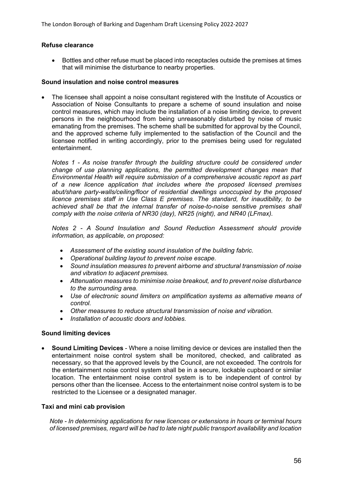#### **Refuse clearance**

 Bottles and other refuse must be placed into receptacles outside the premises at times that will minimise the disturbance to nearby properties.

#### **Sound insulation and noise control measures**

 The licensee shall appoint a noise consultant registered with the Institute of Acoustics or Association of Noise Consultants to prepare a scheme of sound insulation and noise control measures, which may include the installation of a noise limiting device, to prevent persons in the neighbourhood from being unreasonably disturbed by noise of music emanating from the premises. The scheme shall be submitted for approval by the Council, and the approved scheme fully implemented to the satisfaction of the Council and the licensee notified in writing accordingly, prior to the premises being used for regulated entertainment.

*Notes 1 - As noise transfer through the building structure could be considered under change of use planning applications, the permitted development changes mean that Environmental Health will require submission of a comprehensive acoustic report as part of a new licence application that includes where the proposed licensed premises abut/share party-walls/ceiling/floor of residential dwellings unoccupied by the proposed licence premises staff in Use Class E premises. The standard, for inaudibility, to be achieved shall be that the internal transfer of noise-to-noise sensitive premises shall comply with the noise criteria of NR30 (day), NR25 (night), and NR40 (LFmax).*

*Notes 2 - A Sound Insulation and Sound Reduction Assessment should provide information, as applicable, on proposed:*

- *Assessment of the existing sound insulation of the building fabric.*
- *Operational building layout to prevent noise escape.*
- *Sound insulation measures to prevent airborne and structural transmission of noise and vibration to adjacent premises.*
- *Attenuation measures to minimise noise breakout, and to prevent noise disturbance to the surrounding area.*
- *Use of electronic sound limiters on amplification systems as alternative means of control.*
- *Other measures to reduce structural transmission of noise and vibration.*
- *Installation of acoustic doors and lobbies.*

#### **Sound limiting devices**

 **Sound Limiting Devices** - Where a noise limiting device or devices are installed then the entertainment noise control system shall be monitored, checked, and calibrated as necessary, so that the approved levels by the Council, are not exceeded. The controls for the entertainment noise control system shall be in a secure, lockable cupboard or similar location. The entertainment noise control system is to be independent of control by persons other than the licensee. Access to the entertainment noise control system is to be restricted to the Licensee or a designated manager.

#### **Taxi and mini cab provision**

*Note - In determining applications for new licences or extensions in hours or terminal hours of licensed premises, regard will be had to late night public transport availability and location*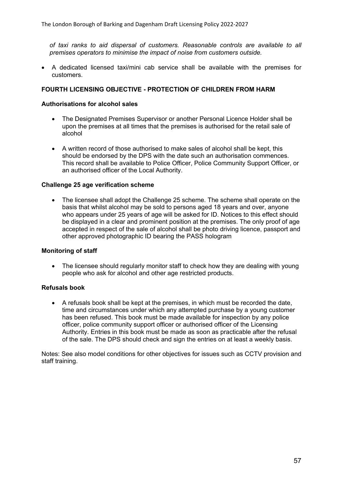*of taxi ranks to aid dispersal of customers. Reasonable controls are available to all premises operators to minimise the impact of noise from customers outside.*

 A dedicated licensed taxi/mini cab service shall be available with the premises for customers.

#### **FOURTH LICENSING OBJECTIVE - PROTECTION OF CHILDREN FROM HARM**

#### **Authorisations for alcohol sales**

- The Designated Premises Supervisor or another Personal Licence Holder shall be upon the premises at all times that the premises is authorised for the retail sale of alcohol
- A written record of those authorised to make sales of alcohol shall be kept, this should be endorsed by the DPS with the date such an authorisation commences. This record shall be available to Police Officer, Police Community Support Officer, or an authorised officer of the Local Authority.

#### **Challenge 25 age verification scheme**

 The licensee shall adopt the Challenge 25 scheme. The scheme shall operate on the basis that whilst alcohol may be sold to persons aged 18 years and over, anyone who appears under 25 years of age will be asked for ID. Notices to this effect should be displayed in a clear and prominent position at the premises. The only proof of age accepted in respect of the sale of alcohol shall be photo driving licence, passport and other approved photographic ID bearing the PASS hologram

#### **Monitoring of staff**

• The licensee should regularly monitor staff to check how they are dealing with young people who ask for alcohol and other age restricted products.

#### **Refusals book**

 A refusals book shall be kept at the premises, in which must be recorded the date, time and circumstances under which any attempted purchase by a young customer has been refused. This book must be made available for inspection by any police officer, police community support officer or authorised officer of the Licensing Authority. Entries in this book must be made as soon as practicable after the refusal of the sale. The DPS should check and sign the entries on at least a weekly basis.

Notes: See also model conditions for other objectives for issues such as CCTV provision and staff training.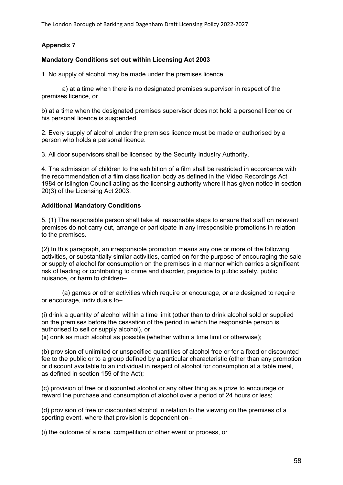The London Borough of Barking and Dagenham Draft Licensing Policy 2022-2027

### **Appendix 7**

#### **Mandatory Conditions set out within Licensing Act 2003**

1. No supply of alcohol may be made under the premises licence

a) at a time when there is no designated premises supervisor in respect of the premises licence, or

b) at a time when the designated premises supervisor does not hold a personal licence or his personal licence is suspended.

2. Every supply of alcohol under the premises licence must be made or authorised by a person who holds a personal licence.

3. All door supervisors shall be licensed by the Security Industry Authority.

4. The admission of children to the exhibition of a film shall be restricted in accordance with the recommendation of a film classification body as defined in the Video Recordings Act 1984 or Islington Council acting as the licensing authority where it has given notice in section 20(3) of the Licensing Act 2003.

#### **Additional Mandatory Conditions**

5. (1) The responsible person shall take all reasonable steps to ensure that staff on relevant premises do not carry out, arrange or participate in any irresponsible promotions in relation to the premises.

(2) In this paragraph, an irresponsible promotion means any one or more of the following activities, or substantially similar activities, carried on for the purpose of encouraging the sale or supply of alcohol for consumption on the premises in a manner which carries a significant risk of leading or contributing to crime and disorder, prejudice to public safety, public nuisance, or harm to children–

(a) games or other activities which require or encourage, or are designed to require or encourage, individuals to–

(i) drink a quantity of alcohol within a time limit (other than to drink alcohol sold or supplied on the premises before the cessation of the period in which the responsible person is authorised to sell or supply alcohol), or

(ii) drink as much alcohol as possible (whether within a time limit or otherwise);

(b) provision of unlimited or unspecified quantities of alcohol free or for a fixed or discounted fee to the public or to a group defined by a particular characteristic (other than any promotion or discount available to an individual in respect of alcohol for consumption at a table meal, as defined in section 159 of the Act);

(c) provision of free or discounted alcohol or any other thing as a prize to encourage or reward the purchase and consumption of alcohol over a period of 24 hours or less;

(d) provision of free or discounted alcohol in relation to the viewing on the premises of a sporting event, where that provision is dependent on–

(i) the outcome of a race, competition or other event or process, or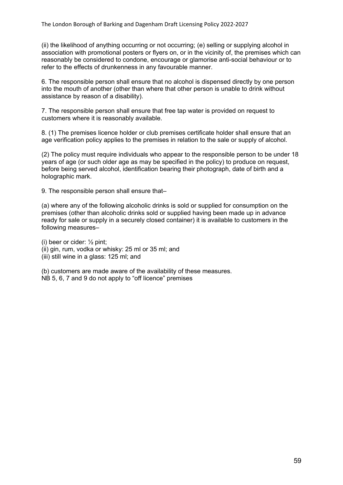(ii) the likelihood of anything occurring or not occurring; (e) selling or supplying alcohol in association with promotional posters or flyers on, or in the vicinity of, the premises which can reasonably be considered to condone, encourage or glamorise anti-social behaviour or to refer to the effects of drunkenness in any favourable manner.

6. The responsible person shall ensure that no alcohol is dispensed directly by one person into the mouth of another (other than where that other person is unable to drink without assistance by reason of a disability).

7. The responsible person shall ensure that free tap water is provided on request to customers where it is reasonably available.

8. (1) The premises licence holder or club premises certificate holder shall ensure that an age verification policy applies to the premises in relation to the sale or supply of alcohol.

(2) The policy must require individuals who appear to the responsible person to be under 18 years of age (or such older age as may be specified in the policy) to produce on request, before being served alcohol, identification bearing their photograph, date of birth and a holographic mark.

9. The responsible person shall ensure that–

(a) where any of the following alcoholic drinks is sold or supplied for consumption on the premises (other than alcoholic drinks sold or supplied having been made up in advance ready for sale or supply in a securely closed container) it is available to customers in the following measures–

(i) beer or cider: ½ pint; (ii) gin, rum, vodka or whisky: 25 ml or 35 ml; and

(iii) still wine in a glass: 125 ml; and

(b) customers are made aware of the availability of these measures. NB 5, 6, 7 and 9 do not apply to "off licence" premises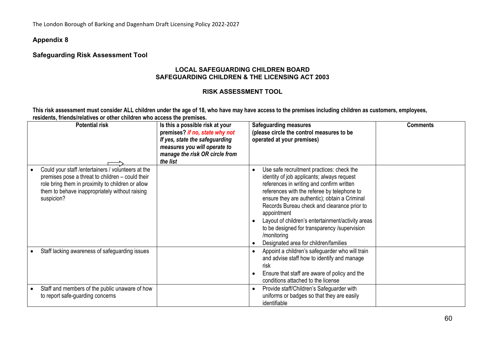The London Borough of Barking and Dagenham Draft Licensing Policy 2022-2027

#### **Appendix 8**

### **Safeguarding Risk Assessment Tool**

#### **LOCAL SAFEGUARDING CHILDREN BOARD SAFEGUARDING CHILDREN & THE LICENSING ACT 2003**

#### **RISK ASSESSMENT TOOL**

This risk assessment must consider ALL children under the age of 18, who have may have access to the premises including children as customers, employees, **residents, friends/relatives or other children who access the premises.**

| <b>Potential risk</b>                                                                                                                                                                                                        | Is this a possible risk at your<br>premises? if no, state why not<br>If yes, state the safeguarding<br>measures you will operate to<br>manage the risk OR circle from<br>the list | <b>Safeguarding measures</b><br>(please circle the control measures to be<br>operated at your premises)                                                                                                                                                                                                                                                                                                                                                         | <b>Comments</b> |
|------------------------------------------------------------------------------------------------------------------------------------------------------------------------------------------------------------------------------|-----------------------------------------------------------------------------------------------------------------------------------------------------------------------------------|-----------------------------------------------------------------------------------------------------------------------------------------------------------------------------------------------------------------------------------------------------------------------------------------------------------------------------------------------------------------------------------------------------------------------------------------------------------------|-----------------|
| Could your staff / entertainers / volunteers at the<br>premises pose a threat to children - could their<br>role bring them in proximity to children or allow<br>them to behave inappropriately without raising<br>suspicion? |                                                                                                                                                                                   | Use safe recruitment practices: check the<br>identity of job applicants; always request<br>references in writing and confirm written<br>references with the referee by telephone to<br>ensure they are authentic); obtain a Criminal<br>Records Bureau check and clearance prior to<br>appointment<br>Layout of children's entertainment/activity areas<br>to be designed for transparency /supervision<br>/monitoring<br>Designated area for children/families |                 |
| Staff lacking awareness of safeguarding issues                                                                                                                                                                               |                                                                                                                                                                                   | Appoint a children's safeguarder who will train<br>and advise staff how to identify and manage<br>risk<br>Ensure that staff are aware of policy and the<br>conditions attached to the license                                                                                                                                                                                                                                                                   |                 |
| Staff and members of the public unaware of how<br>to report safe-guarding concerns                                                                                                                                           |                                                                                                                                                                                   | Provide staff/Children's Safeguarder with<br>uniforms or badges so that they are easily<br>identifiable                                                                                                                                                                                                                                                                                                                                                         |                 |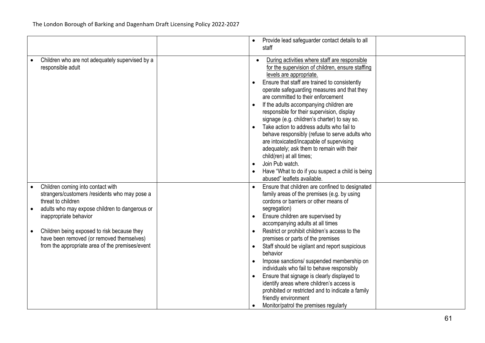|                                                                                                                                                                                                                                                                                                                                     | Provide lead safeguarder contact details to all<br>staff                                                                                                                                                                                                                                                                                                                                                                                                                                                                                                                                                                                                                                                                              |
|-------------------------------------------------------------------------------------------------------------------------------------------------------------------------------------------------------------------------------------------------------------------------------------------------------------------------------------|---------------------------------------------------------------------------------------------------------------------------------------------------------------------------------------------------------------------------------------------------------------------------------------------------------------------------------------------------------------------------------------------------------------------------------------------------------------------------------------------------------------------------------------------------------------------------------------------------------------------------------------------------------------------------------------------------------------------------------------|
| Children who are not adequately supervised by a<br>responsible adult                                                                                                                                                                                                                                                                | During activities where staff are responsible<br>for the supervision of children, ensure staffing<br>levels are appropriate.<br>Ensure that staff are trained to consistently<br>operate safeguarding measures and that they<br>are committed to their enforcement<br>If the adults accompanying children are<br>responsible for their supervision, display<br>signage (e.g. children's charter) to say so.<br>Take action to address adults who fail to<br>behave responsibly (refuse to serve adults who<br>are intoxicated/incapable of supervising<br>adequately; ask them to remain with their<br>child(ren) at all times;<br>Join Pub watch.<br>Have "What to do if you suspect a child is being<br>abused" leaflets available. |
| Children coming into contact with<br>strangers/customers /residents who may pose a<br>threat to children<br>adults who may expose children to dangerous or<br>inappropriate behavior<br>Children being exposed to risk because they<br>have been removed (or removed themselves)<br>from the appropriate area of the premises/event | Ensure that children are confined to designated<br>family areas of the premises (e.g. by using<br>cordons or barriers or other means of<br>segregation)<br>Ensure children are supervised by<br>accompanying adults at all times<br>Restrict or prohibit children's access to the<br>premises or parts of the premises<br>Staff should be vigilant and report suspicious<br>$\bullet$<br>behavior<br>Impose sanctions/ suspended membership on<br>$\bullet$<br>individuals who fail to behave responsibly<br>Ensure that signage is clearly displayed to<br>identify areas where children's access is<br>prohibited or restricted and to indicate a family<br>friendly environment<br>Monitor/patrol the premises regularly           |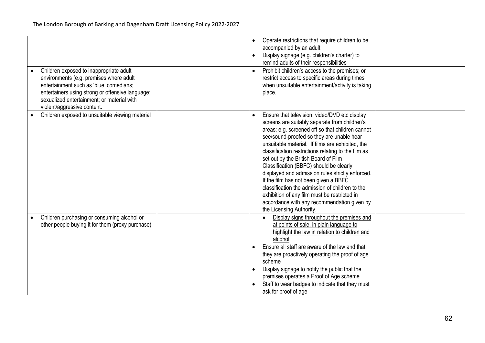| Children exposed to inappropriate adult<br>environments (e.g. premises where adult<br>entertainment such as 'blue' comedians;<br>entertainers using strong or offensive language;<br>sexualized entertainment; or material with<br>violent/aggressive content. | Operate restrictions that require children to be<br>accompanied by an adult<br>Display signage (e.g. children's charter) to<br>$\bullet$<br>remind adults of their responsibilities<br>Prohibit children's access to the premises; or<br>restrict access to specific areas during times<br>when unsuitable entertainment/activity is taking<br>place.                                                                                                                                                                                                                                                                                                                    |
|----------------------------------------------------------------------------------------------------------------------------------------------------------------------------------------------------------------------------------------------------------------|--------------------------------------------------------------------------------------------------------------------------------------------------------------------------------------------------------------------------------------------------------------------------------------------------------------------------------------------------------------------------------------------------------------------------------------------------------------------------------------------------------------------------------------------------------------------------------------------------------------------------------------------------------------------------|
| Children exposed to unsuitable viewing material                                                                                                                                                                                                                | Ensure that television, video/DVD etc display<br>screens are suitably separate from children's<br>areas; e.g. screened off so that children cannot<br>see/sound-proofed so they are unable hear<br>unsuitable material. If films are exhibited, the<br>classification restrictions relating to the film as<br>set out by the British Board of Film<br>Classification (BBFC) should be clearly<br>displayed and admission rules strictly enforced.<br>If the film has not been given a BBFC<br>classification the admission of children to the<br>exhibition of any film must be restricted in<br>accordance with any recommendation given by<br>the Licensing Authority. |
| Children purchasing or consuming alcohol or<br>$\bullet$<br>other people buying it for them (proxy purchase)                                                                                                                                                   | Display signs throughout the premises and<br>at points of sale, in plain language to<br>highlight the law in relation to children and<br>alcohol<br>Ensure all staff are aware of the law and that<br>they are proactively operating the proof of age<br>scheme<br>Display signage to notify the public that the<br>premises operates a Proof of Age scheme<br>Staff to wear badges to indicate that they must<br>ask for proof of age                                                                                                                                                                                                                                   |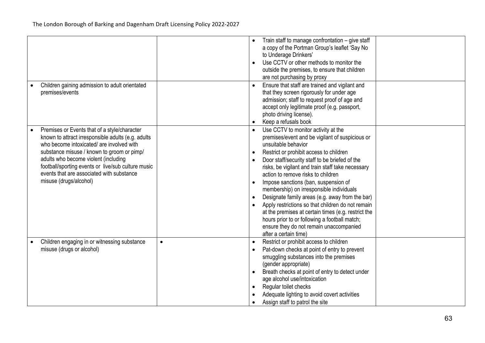|                                                                                                                                                                                                                                                                                                                                                                    |           | Train staff to manage confrontation - give staff<br>a copy of the Portman Group's leaflet 'Say No<br>to Underage Drinkers'<br>Use CCTV or other methods to monitor the<br>outside the premises, to ensure that children<br>are not purchasing by proxy                                                                                                                                                                                                                                                                                                                                                                                                                                     |  |
|--------------------------------------------------------------------------------------------------------------------------------------------------------------------------------------------------------------------------------------------------------------------------------------------------------------------------------------------------------------------|-----------|--------------------------------------------------------------------------------------------------------------------------------------------------------------------------------------------------------------------------------------------------------------------------------------------------------------------------------------------------------------------------------------------------------------------------------------------------------------------------------------------------------------------------------------------------------------------------------------------------------------------------------------------------------------------------------------------|--|
| Children gaining admission to adult orientated<br>premises/events                                                                                                                                                                                                                                                                                                  |           | Ensure that staff are trained and vigilant and<br>that they screen rigorously for under age<br>admission; staff to request proof of age and<br>accept only legitimate proof (e.g. passport,<br>photo driving license).<br>Keep a refusals book                                                                                                                                                                                                                                                                                                                                                                                                                                             |  |
| Premises or Events that of a style/character<br>known to attract irresponsible adults (e.g. adults<br>who become intoxicated/ are involved with<br>substance misuse / known to groom or pimp/<br>adults who become violent (including<br>football/sporting events or live/sub culture music<br>events that are associated with substance<br>misuse (drugs/alcohol) |           | Use CCTV to monitor activity at the<br>premises/event and be vigilant of suspicious or<br>unsuitable behavior<br>Restrict or prohibit access to children<br>Door staff/security staff to be briefed of the<br>risks, be vigilant and train staff take necessary<br>action to remove risks to children<br>Impose sanctions (ban, suspension of<br>$\bullet$<br>membership) on irresponsible individuals<br>Designate family areas (e.g. away from the bar)<br>Apply restrictions so that children do not remain<br>at the premises at certain times (e.g. restrict the<br>hours prior to or following a football match;<br>ensure they do not remain unaccompanied<br>after a certain time) |  |
| Children engaging in or witnessing substance<br>misuse (drugs or alcohol)                                                                                                                                                                                                                                                                                          | $\bullet$ | Restrict or prohibit access to children<br>Pat-down checks at point of entry to prevent<br>smuggling substances into the premises<br>(gender appropriate)<br>Breath checks at point of entry to detect under<br>age alcohol use/intoxication<br>Regular toilet checks<br>$\bullet$<br>Adequate lighting to avoid covert activities<br>Assign staff to patrol the site                                                                                                                                                                                                                                                                                                                      |  |